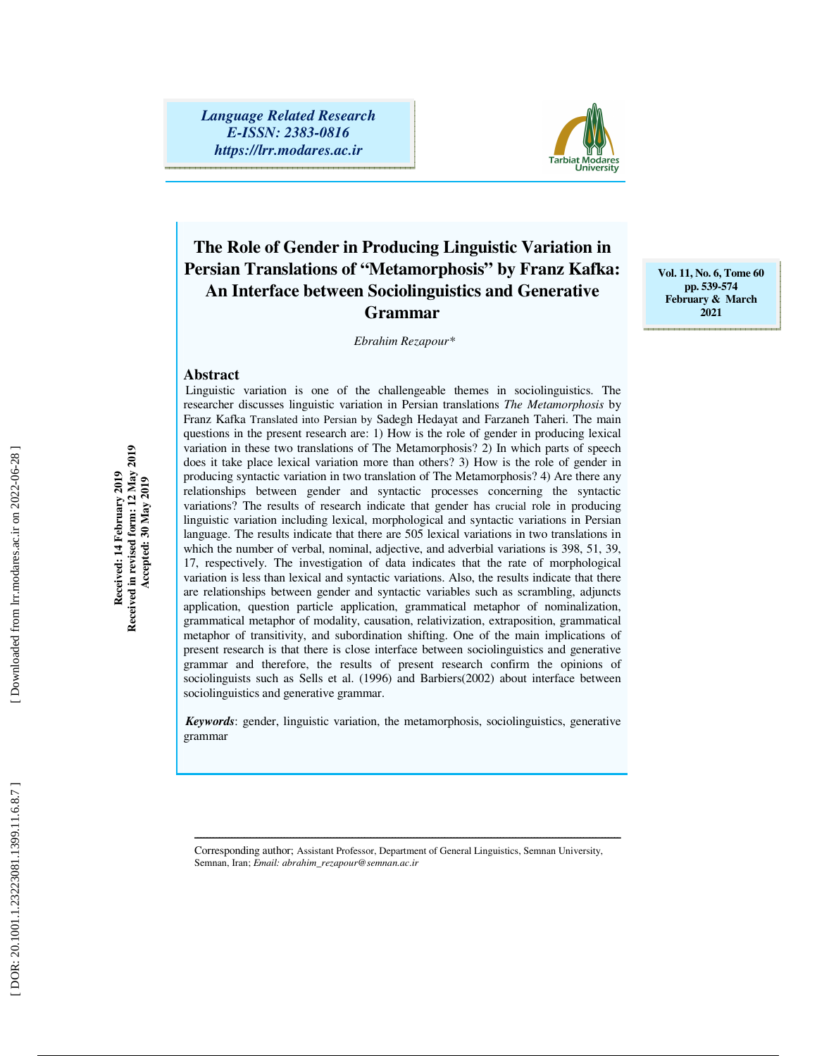*Language Related Research E-ISSN: 2383-0816 https://lrr.modares.ac.ir*



# **The Role of Gender in Producing Linguistic Variation in Persian Translations of "Metamorphosis" by Franz Kafka: An Interface between Sociolinguistics and Generative Grammar**

*Ebrahim Rezapour\** 

**Abstract** 

Linguistic variation is one of the challengeable themes in sociolinguistics. The researcher discusses linguistic variation in Persian translations *The Metamorphosis* by Franz Kafka Translated into Persian by Sadegh Hedayat and Farzaneh Taheri. The main questions in the present research are: 1) How is the role of gender in producing lexical variation in these two translations of The Metamorphosis? 2) In which parts of speech does it take place lexical variation more than others? 3) How is the role of gender in producing syntactic variation in two translation of The Metamorphosis? 4) Are there any relationships between gender and syntactic processes concerning the syntactic variations? The results of research indicate that gender has crucial role in producing linguistic variation including lexical, morphological and syntactic variations in Persian language. The results indicate that there are 505 lexical variations in two translations in which the number of verbal, nominal, adjective, and adverbial variations is 398, 51, 39, 17, respectively. The investigation of data indicates that the rate of morphological variation is less than lexical and syntactic variations. Also, the results indicate that there are relationships between gender and syntactic variables such as scrambling, adjuncts application, question particle application, grammatical metaphor of nominalization, grammatical metaphor of modality, causation, relativization, extraposition, grammatical metaphor of transitivity, and subordination shifting. One of the main implications of present research is that there is close interface between sociolinguistics and generative grammar and therefore, the results of present research confirm the opinions of sociolinguists such as Sells et al. (1996) and Barbiers(2002) about interface between sociolinguistics and generative grammar.

*Keywords*: gender, linguistic variation, the metamorphosis, sociolinguistics, generative grammar

Corresponding author; Assistant Professor, Department of General Linguistics, Semnan University, Semnan, Iran; *Email: abrahim\_rezapour@semnan.ac.ir*

ــــــــــــــــــــــــــــــــــــــــــــــــــــــــــــــــــــــــــــــــــــــــــــــــــــــــــــــــــــــــــــــــــــــــــ

**Received in revised form: 12 May 2019**  Received: 14 February 2019<br>Received in revised form: 12 May 2019<br>Accepted: 30 May 2019 **Received: 14 February 2019 Accepted: 30 May 2019** 

Downloaded from hr.modares.ac.ir on 2022-06-28

**Vol. 11, No. 6, Tome 60 pp. 539-574 February & March 2021**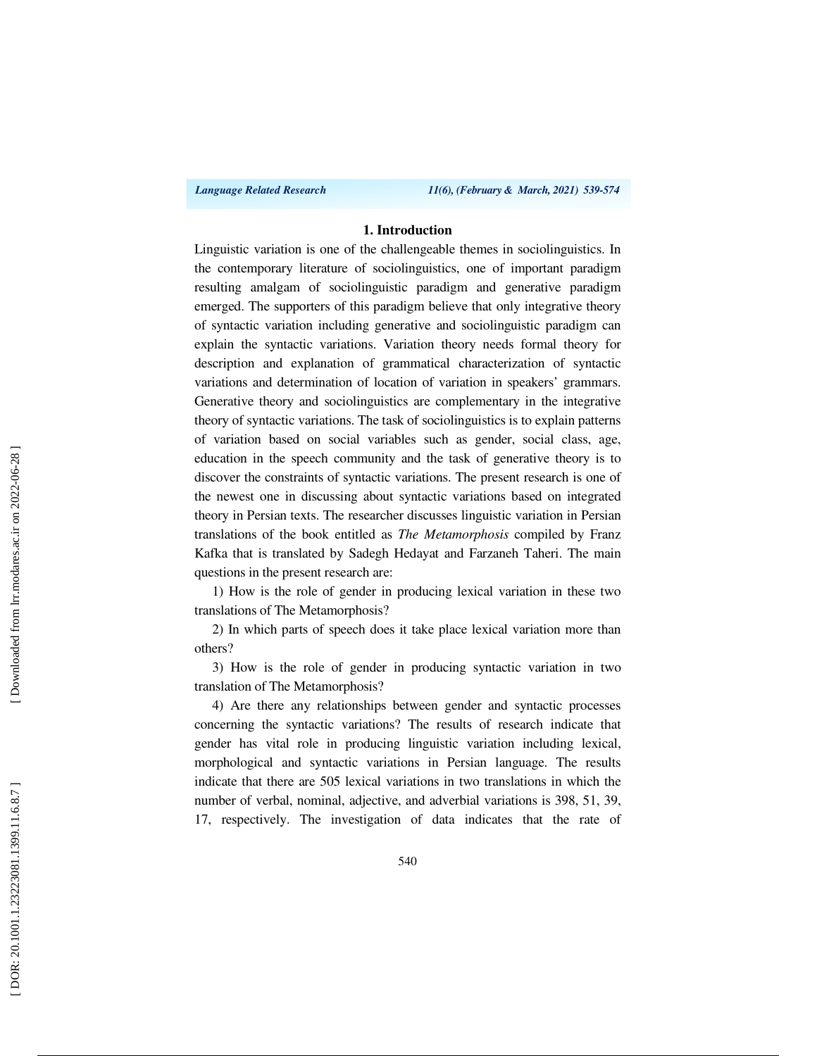*Language Related Research 11(6), (February & March, 2021) 539-574*

#### **1. Introduction**

Linguistic variation is one of the challengeable themes in sociolinguistics. In the contemporary literature of sociolinguistics, one of important paradigm resulting amalgam of sociolinguistic paradigm and generative paradigm emerged. The supporters of this paradigm believe that only integrative theory of syntactic variation including generative and sociolinguistic paradigm can explain the syntactic variations. Variation theory needs formal theory for description and explanation of grammatical characterization of syntactic variations and determination of location of variation in speakers' grammars. Generative theory and sociolinguistics are complementary in the integrative theory of syntactic variations. The task of sociolinguistics is to explain patterns of variation based on social variables such as gender, social class, age, education in the speech community and the task of generative theory is to discover the constraints of syntactic variations. The present research is one of the newest one in discussing about syntactic variations based on integrated theory in Persian texts. The researcher discusses linguistic variation in Persian translations of the book entitled as *The Metamorphosis* compiled by Franz Kafka that is translated by Sadegh Hedayat and Farzaneh Taheri. The main questions in the present research are:

1) How is the role of gender in producing lexical variation in these two translations of The Metamorphosis?

2) In which parts of speech does it take place lexical variation more than others?

3) How is the role of gender in producing syntactic variation in two translation of The Metamorphosis?

4) Are there any relationships between gender and syntactic processes concerning the syntactic variations? The results of research indicate that gender has vital role in producing linguistic variation including lexical, morphological and syntactic variations in Persian language. The results indicate that there are 505 lexical variations in two translations in which the number of verbal, nominal, adjective, and adverbial variations is 398, 51, 39, 17, respectively. The investigation of data indicates that the rate of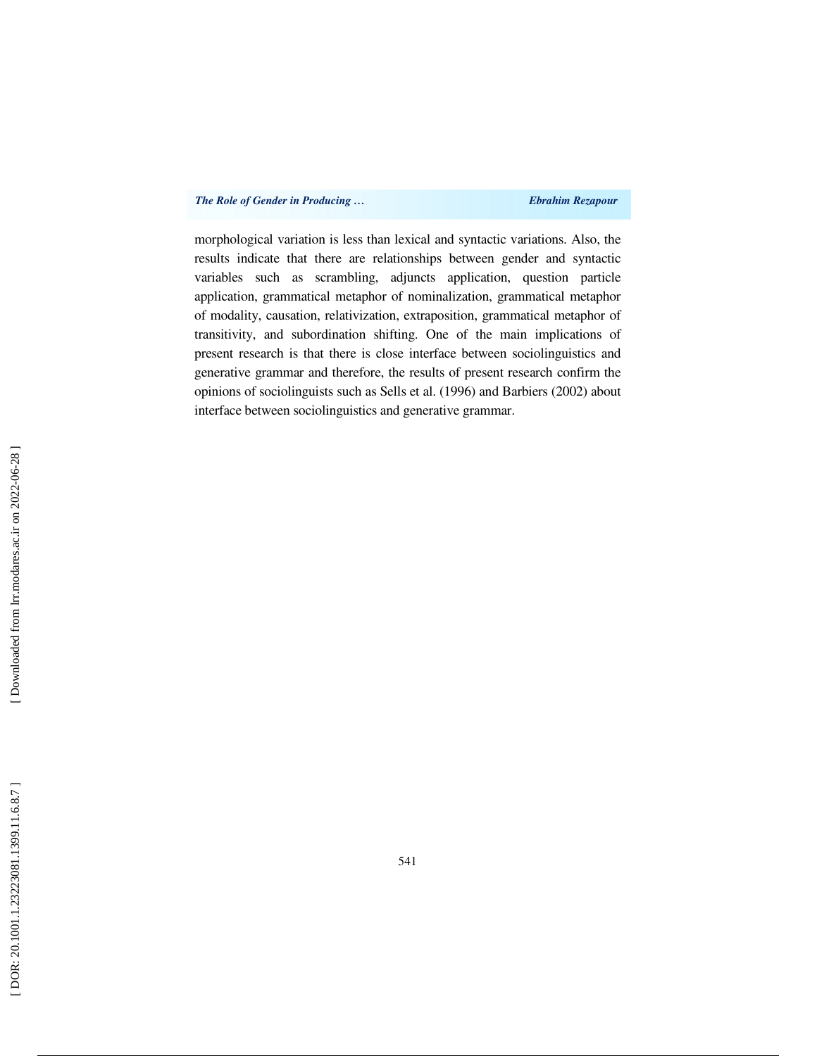morphological variation is less than lexical and syntactic variations. Also, the results indicate that there are relationships between gender and syntactic variables such as scrambling, adjuncts application, question particle application, grammatical metaphor of nominalization, grammatical metaphor of modality, causation, relativization, extraposition, grammatical metaphor of transitivity, and subordination shifting. One of the main implications of present research is that there is close interface between sociolinguistics and generative grammar and therefore, the results of present research confirm the opinions of sociolinguists such as Sells et al. (1996) and Barbiers (2002) about interface between sociolinguistics and generative grammar.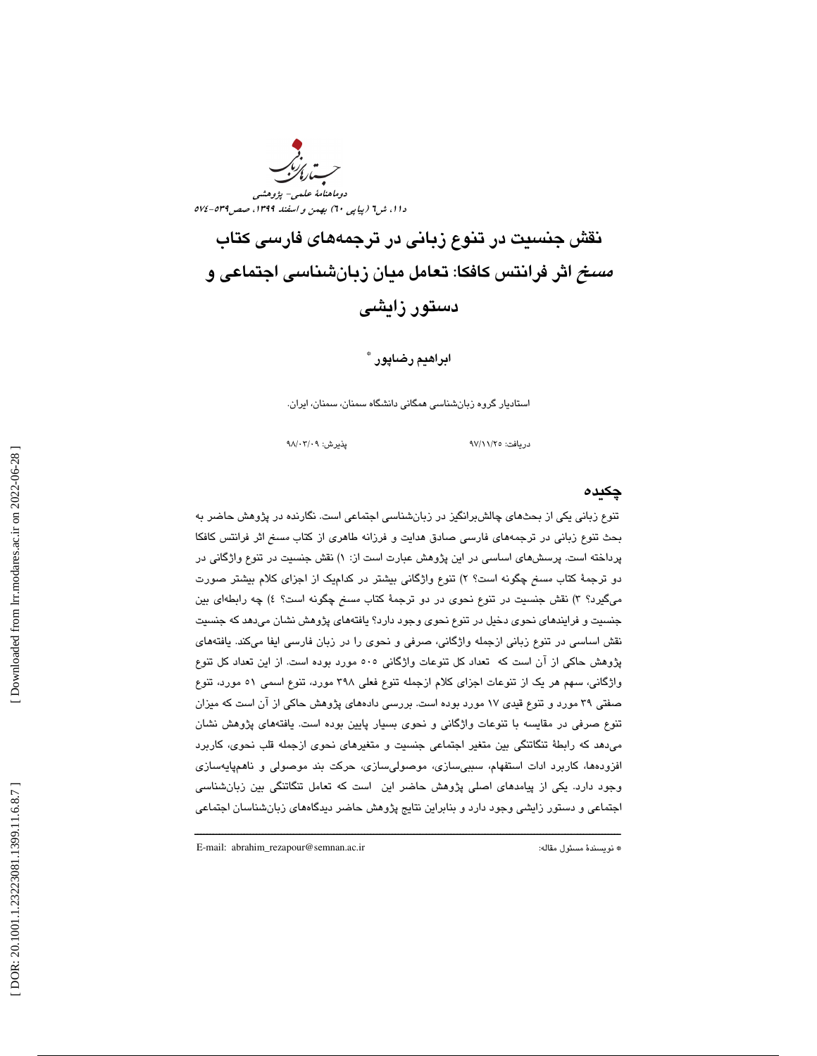ست<sub>اری</sub><br>ستارکن دوماهنامة علمي- پژوهشي دا ۱، ش1 (پياپی ٦٠) بهمن و اسفند ١٣٩٩، صص7٦٩-٥٧٤

نقش جنسيت در تنوع زباني در ترجمههاي فارسي كتاب مسخ اثر فرانتس كافكا: تعامل ميان زبانشناسي اجتماعي و دستور زايشي

### ابراهيم رضاپور <sup>\*</sup>

استاديار گروه زبانشناسي همگاني دانشگاه سمنان، سمنان، ايران.

دريافت: 25/ 11/ 97 پذيرش: 09/ 03/ 98

#### چكيده

تنوع زباني يكي از بحثهاي چالشبرانگيز در زبانشناسي اجتماعي است. نگارنده در پژوهش حاضر به بحث تنوع زباني در ترجمههاي فارسي صادق هدايت و فرزانه طاهري از كتاب مسخ اثر فرانتس كافكا پرداخته است. پرسشهای اساسی در این پژوهش عبارت است از: ۱) نقش جنسیت در تنوع واژگانی در دو ترجمهٔ کتاب *مسخ* چگونه است؟ ۲) تنوع واژگانی بیشتر در کدام<sub>ل</sub>ک از اجزای کلام بیشتر صورت میگیرد؟ ۳) نقش جنسیت در تنوع نحوی در دو ترجمهٔ کتاب *مسخ* چگونه است؟ ٤) چه رابطهای بین جنسيت و فرايندهاي نحوي دخيل در تنوع نحوي وجود دارد؟ يافتههاي پژوهش نشان ميدهد كه جنسيت نقش اساسي در تنوع زباني ازجمله واژگاني، صرفي و نحوي را در زبان فارسي ايفا ميكند. يافتههاي پژوهش حاكي از آن است كه تعداد كل تنوعات واژگاني 505 مورد بوده است. از اين تعداد كل تنوع واژگاني، سهم هر يك از تنوعات اجزاي كلام ازجمله تنوع فعلي 398 مورد، تنوع اسمي 51 مورد، تنوع صفتي 39 مورد و تنوع قيدي 17 مورد بوده است. بررسي دادههاي پژوهش حاكي از آن است كه ميزان تنوع صرفي در مقايسه با تنوعات واژگاني و نحوي بسيار پايين بوده است. يافتههاي پژوهش نشان ميدهد كه رابطة تنگاتنگي بين متغير اجتماعي جنسيت و متغيرهاي نحوي ازجمله قلب نحوي، كاربرد افزودهها، كاربرد ادات استفهام، سببيسازي، موصوليسازي، حركت بند موصولي و ناهمپايهسازي وجود دارد. يكي از پيامدهاي اصلي پژوهش حاضر اين است كه تعامل تنگاتنگي بين زبانشناسي اجتماعي و دستور زايشي وجود دارد و بنابراين نتايج پژوهش حاضر ديدگاههاي زبانشناسان اجتماعي

ــــــــــــــــــــــــــــــــــــــــــــــــــــــــــــــــــــــــــــــــــــــــــــــــــــــــــــــــــــــــــــــــــــــــــ

E-mail: abrahim\_rezapour@semnan.ac.ir :مقاله مسئول نويسندة\*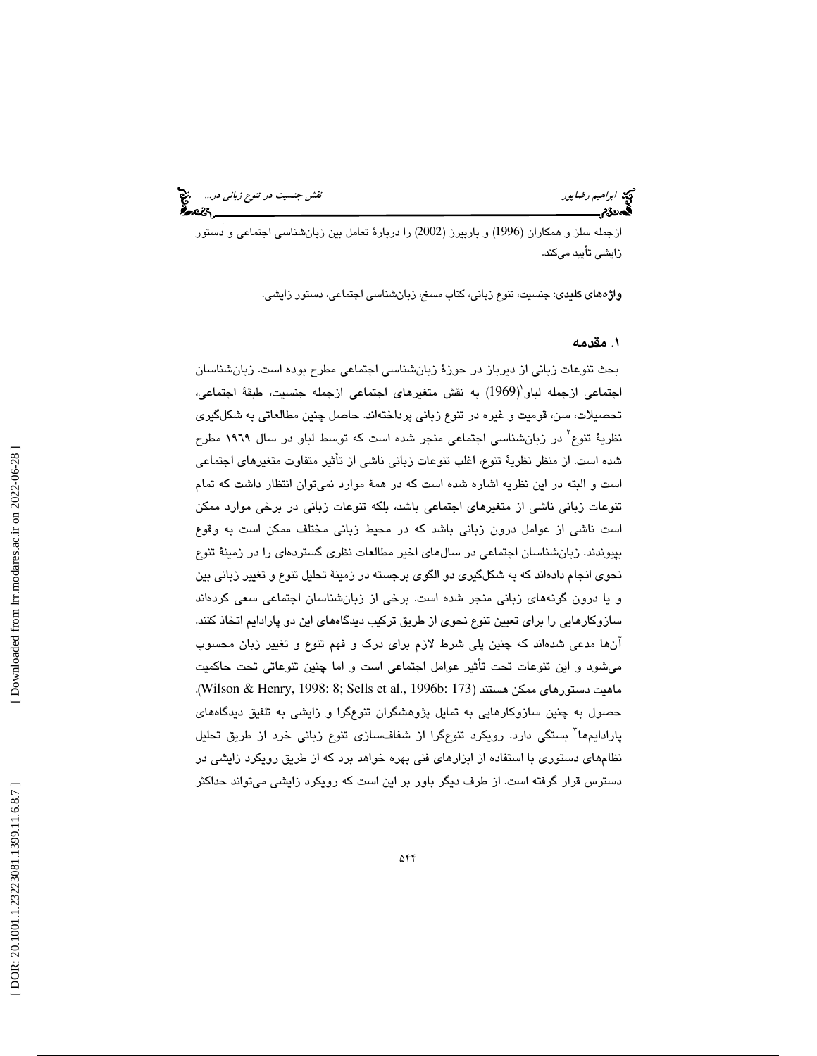ازجمله سلز و همكاران (1996) و باربيرز (2002) را دربارة تعامل بين زبانشناسي اجتماعي و دستور زايشي تأييد ميكند.

واژههاي كليدي: جنسيت، تنوع زباني، كتاب مسخ، زبانشناسي اجتماعي، دستور زايشي.

# . مقدمه 1

بحث تنوعات زباني از ديرباز در حوزة زبانشناسي اجتماعي مطرح بوده است. زبانشناسان اجتماعی ازجمله لباو (1969) به نقش متغيرهای اجتماعی ازجمله جنسيت، طبقهٔ اجتماعی، تحصيلات، سن، قوميت و غيره در تنوع زباني پرداختهاند. حاصل چنين مطالعاتي به شكلگيري نظرية تنوع<sup>۲</sup> در زبانشناسي اجتماعي منجر شده است كه توسط لباو در سال ۱۹۲۹ مطرح شده است. از منظر نظرية تنوع، اغلب تنوعات زباني ناشي از تأثير متفاوت متغيرهاي اجتماعي است و البته در اين نظريه اشاره شده است كه در همة موارد نميتوان انتظار داشت كه تمام تنوعات زباني ناشي از متغيرهاي اجتماعي باشد، بلكه تنوعات زباني در برخي موارد ممكن است ناشي از عوامل درون زباني باشد كه در محيط زباني مختلف ممكن است به وقوع بپيوندند. زبانشناسان اجتماعي در سالهاي اخير مطالعات نظري گستردهاي را در زمينة تنوع نحوي انجام دادهاند كه به شكلگيري دو الگوي برجسته در زمينة تحليل تنوع و تغيير زباني بين و يا درون گونههاي زباني منجر شده است. برخي از زبانشناسان اجتماعي سعي كردهاند سازوكارهايي را براي تعيين تنوع نحوي از طريق تركيب ديدگاههاي اين دو پارادايم اتخاذ كنند. آنها مدعي شدهاند كه چنين پلي شرط لازم براي درك و فهم تنوع و تغيير زبان محسوب ميشود و اين تنوعات تحت تأثير عوامل اجتماعي است و اما چنين تنوعاتي تحت حاكميت .(Wilson & Henry, 1998: 8; Sells et al., 1996b: 173) هستند ممكن دستورهاي ماهيت حصول به چنين سازوكارهايي به تمايل پژوهشگران تنوعگرا و زايشي به تلفيق ديدگاههاي پارادايم۱ها<sup>۳</sup> بستگي دارد. رويكرد تنوعِگرا از شفافسازي تنوع زباني خرد از طريق تحليل نظامهاي دستوري با استفاده از ابزارهاي فني بهره خواهد برد كه از طريق رويكرد زايشي در 1 دسترس قرار گرفته است. از طرف ديگر باور بر اين است كه رويكرد زايشي ميتواند حداكثر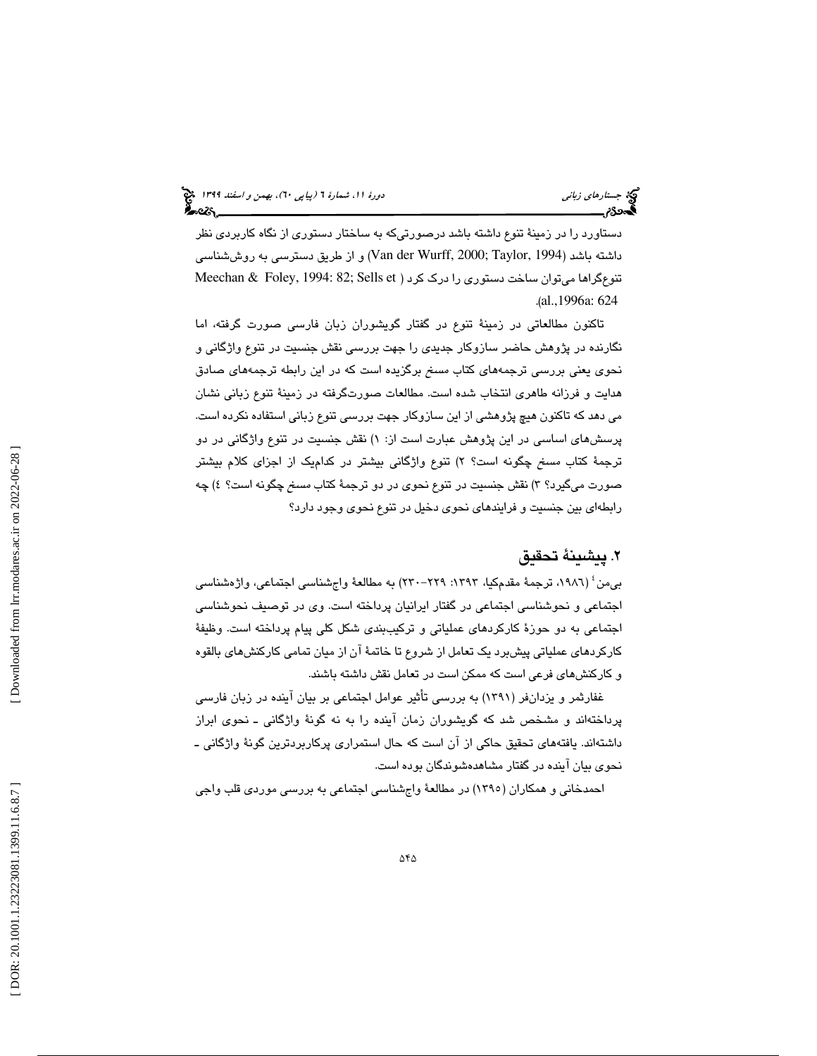دستاورد را در زمينة تنوع داشته باشد درصورتيكه به ساختار دستوري از نگاه كاربردي نظر داشته باشد (1994 ,Taylor; 2000 ,Wurff der Van (و از طريق دسترسي به روششناسي تنوعگراها میتوان ساخت دستوری را درك كرد ( Meechan & Foley, 1994: 82; Sells et .( al.,1996a: 624

تاكنون مطالعاتي در زمينة تنوع در گفتار گويشوران زبان فارسي صورت گرفته، اما نگارنده در پژوهش حاضر سازوكار جديدي را جهت بررسي نقش جنسيت در تنوع واژگاني و نحوي يعني بررسي ترجمههاي كتاب مسخ برگزيده است كه در اين رابطه ترجمههاي صادق هدايت و فرزانه طاهري انتخاب شده است. مطالعات صورتگرفته در زمينة تنوع زباني نشان مي دهد كه تاكنون هيچ پژوهشي از اين سازوكار جهت بررسي تنوع زباني استفاده نكرده است. پرسشهای اساسی در این پژوهش عبارت است از: ۱) نقش جنسیت در تنوع واژگانی در دو ترجمهٔ كتاب *مسخ* چگونه است؟ ۲) تنوع واژگانی بیشتر در كدام<sub>ل</sub>ک از اجزای كلام بیشتر صورت میگیرد؟ ۳) نقش جنسیت در تنوع نحوی در دو ترجمهٔ کتاب *مسخ* چگونه است؟ ٤) چه رابطهاي بين جنسيت و فرايندهاي نحوي دخيل در تنوع نحوي وجود دارد؟

# . پيشينة تحقيق 2

بي0من ٔ (١٩٨٦، ترجمهٔ مقدمكيا، ١٣٩٣: ٢٢٩-٢٢٠) به مطالعهٔ واجشناسي اجتماعي، واژهشناسي اجتماعي و نحوشناسي اجتماعي در گفتار ايرانيان پرداخته است. وي در توصيف نحوشناسي اجتماعي به دو حوزة كاركردهاي عملياتي و تركيببندي شكل كلي پيام پرداخته است. وظيفة كاركردهاي عملياتي پيشبرد يك تعامل از شروع تا خاتمة آن از ميان تمامي كاركنشهاي بالقوه و كاركنشهاي فرعي است كه ممكن است در تعامل نقش داشته باشند.

غفارثمر و يزدانفر (1391) به بررسي تأثير عوامل اجتماعي بر بيان آينده در زبان فارسي پرداختهاند و مشخص شد كه گويشوران زمان آينده را به نه گونة واژگاني ـ نحوي ابراز داشتهاند. يافتههاي تحقيق حاكي از آن است كه حال استمراري پركاربردترين گونهٔ واژگاني ــ نحوي بيان آينده در گفتار مشاهدهشوندگان بوده است.

4 احمدخاني و همكاران (1395) در مطالعة واجشناسي اجتماعي به بررسي موردي قلب واجي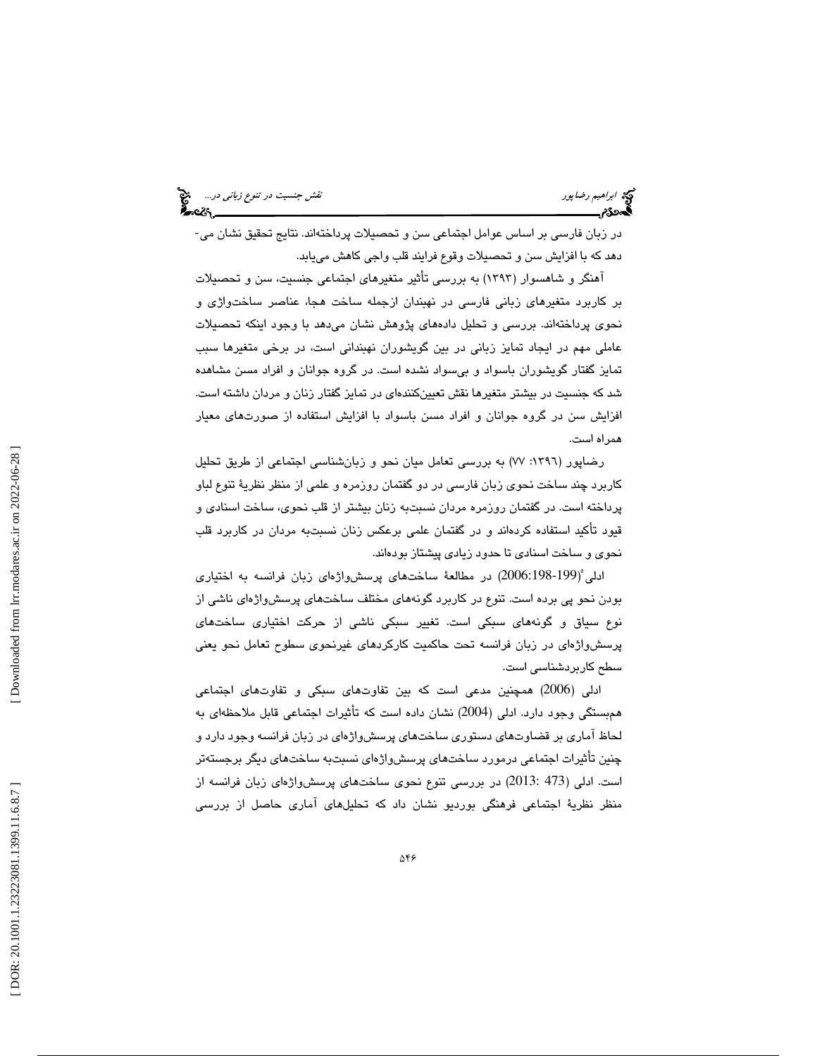در زبان فارسي بر اساس عوامل اجتماعي سن و تحصيلات پرداختهاند. نتايج تحقيق نشان مي- دهد كه با افزايش سن و تحصيلات وقوع فرايند قلب واجي كاهش مييابد.

آهنگر و شاهسوار (۱۳۹۳) به بررسی تأثیر متغیرهای اجتماعی جنسیت، سن و تحصیلات بر كاربرد متغيرهاي زباني فارسي در نهبندان ازجمله ساخت هجا، عناصر ساختواژي و نحوي پرداختهاند. بررسي و تحليل دادههاي پژوهش نشان ميدهد با وجود اينكه تحصيلات عاملي مهم در ايجاد تمايز زباني در بين گويشوران نهبنداني است، در برخي متغيرها سبب تمايز گفتار گويشوران باسواد و بيسواد نشده است. در گروه جوانان و افراد مسن مشاهده شد كه جنسيت در بيشتر متغيرها نقش تعيينكنندهاي در تمايز گفتار زنان و مردان داشته است. افزايش سن در گروه جوانان و افراد مسن باسواد با افزايش استفاده از صورتهاي معيار همراه است.

رضاپور (:1396 77) به بررسي تعامل ميان نحو و زبانشناسي اجتماعي از طريق تحليل كاربرد چند ساخت نحوي زبان فارسي در دو گفتمان روزمره و علمي از منظر نظرية تنوع لباو پرداخته است. در گفتمان روزمره مردان نسبتبه زنان بيشتر از قلب نحوي، ساخت اسنادي و قيود تأكيد استفاده كردهاند و در گفتمان علمي برعكس زنان نسبتبه مردان در كاربرد قلب نحوي و ساخت اسنادي تا حدود زيادي پيشتاز بودهاند.

ادلي 5 2006:198-199) در مطالعة ساختهاي پرسشواژهاي زبان فرانسه به اختياري ) بودن نحو پي برده است. تنوع در كاربرد گونههاي مختلف ساختهاي پرسشواژهاي ناشي از نوع سياق و گونههاي سبكي است. تغيير سبكي ناشي از حركت اختياري ساختهاي پرسشواژهای در زبان فرانسه تحت حاکمیت کارکردهای غیرنحوی سطوح تعامل نحو یعنی<br>سطح کاربردشناسی است.

ادلي (2006) همچنين مدعي است كه بين تفاوتهاي سبكي و تفاوتهاي اجتماعي همبستگي وجود دارد. ادلي (2004) نشان داده است كه تأثيرات اجتماعي قابل ملاحظهاي به لحاظ آماري بر قضاوتهاي دستوري ساختهاي پرسشواژهاي در زبان فرانسه وجود دارد و چنين تأثيرات اجتماعي درمورد ساختهاي پرسشواژهاي نسبتبه ساختهاي ديگر برجستهتر است. ادلي (473 2013:) در بررسي تنوع نحوي ساختهاي پرسشواژهاي زبان فرانسه از 5 منظر نظرية اجتماعي فرهنگي بورديو نشان داد كه تحليلهاي آماري حاصل از بررسي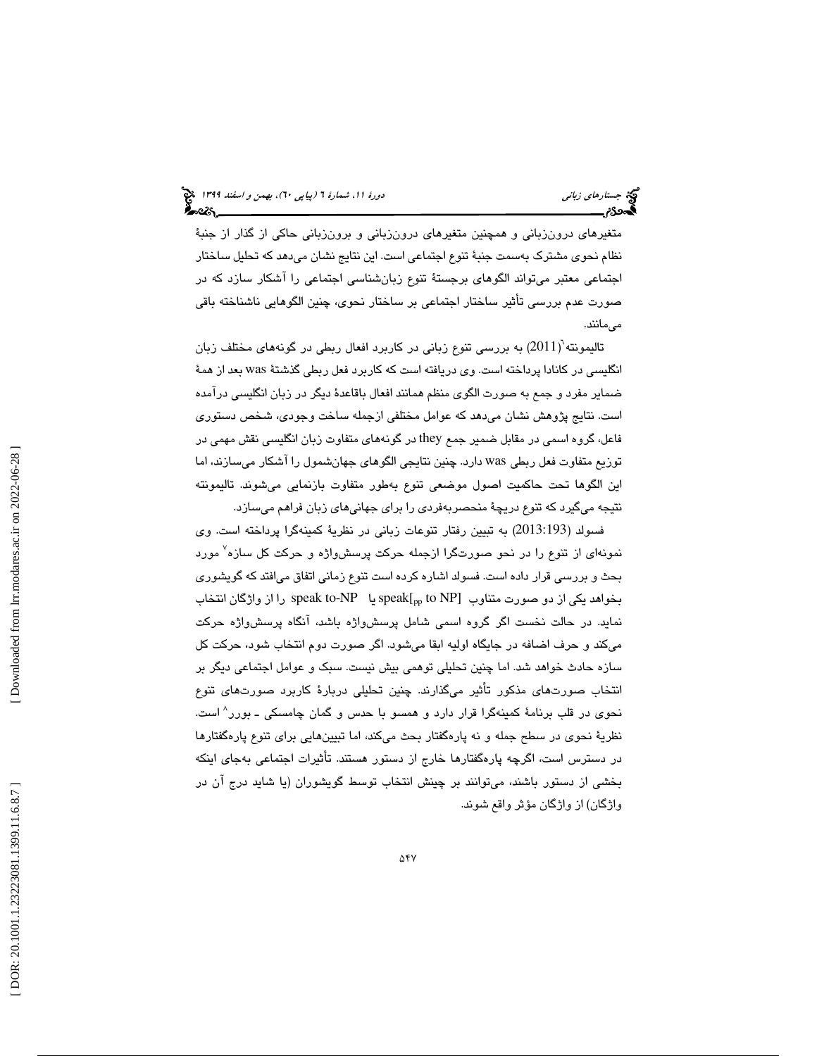متغيرهاي درونزباني و همچنين متغيرهاي درونزباني و برونزباني حاكي از گذار از جنبة نظام نحوي مشترك بهسمت جنبة تنوع اجتماعي است. اين نتايج نشان ميدهد كه تحليل ساختار اجتماعي معتبر ميتواند الگوهاي برجستة تنوع زبانشناسي اجتماعي را آشكار سازد كه در صورت عدم بررسي تأثير ساختار اجتماعي بر ساختار نحوي، چنين الگوهايي ناشناخته باقي ميمانند.

تاليمونته 6 2011) به بررسي تنوع زباني در كاربرد افعال ربطي در گونههاي مختلف زبان ) انگليسي در كانادا پرداخته است. وي دريافته است كه كاربرد فعل ربطي گذشتة was بعد از همة ضماير مفرد و جمع به صورت الگوي منظم همانند افعال باقاعدة ديگر در زبان انگليسي درآمده است. نتايج پژوهش نشان ميدهد كه عوامل مختلفي ازجمله ساخت وجودي، شخص دستوري فاعل، گروه اسمي در مقابل ضمير جمع they در گونههاي متفاوت زبان انگليسي نقش مهمي در توزيع متفاوت فعل ربطي was دارد. چنين نتايجي الگوهاي جهانشمول را آشكار ميسازند، اما اين الگوها تحت حاكميت اصول موضعي تنوع بهطور متفاوت بازنمايي ميشوند. تاليمونته نتيجه ميگيرد كه تنوع دريچة منحصربهفردي را براي جهانيهاي زبان فراهم ميسازد.

فسولد (2013:193) به تبيين رفتار تنوعات زباني در نظرية كمينهگرا پرداخته است. وي نمونهای از تنوع را در نحو صورتگرا ازجمله حركت پرسشواژه و حركت كل سازه<sup>۷</sup> مورد بحث و بررسي قرار داده است. فسولد اشاره كرده است تنوع زماني اتفاق ميافتد كه گويشوري بخواهد يكي از دو صورت متناوب [speak to-NP يا speak to-NP را از واژگان انتخاب نمايد. در حالت نخست اگر گروه اسمي شامل پرسشواژه باشد، آنگاه پرسشواژه حركت ميكند و حرف اضافه در جايگاه اوليه ابقا ميشود. اگر صورت دوم انتخاب شود، حركت كل سازه حادث خواهد شد. اما چنين تحليلي توهمي بيش نيست. سبک و عوامل اجتماعي ديگر بر انتخاب صورتهاي مذكور تأثير ميگذارند. چنين تحليلي دربارة كاربرد صورتهاي تنوع نحوی در قلب برنامهٔ کمینهگرا قرار دارد و همسو با حدس و گمان چامسکی ــ بورر<sup>^</sup> است. نظريهٔ نحوي در سطح جمله و نه پارهگفتار بحث ميكند، اما تبيينهايي براي تنوع پارهگفتارها در دسترس است، اگرچه پارهگفتارها خارج از دستور هستند. تأثيرات اجتماعي بهجاي اينكه بخشي از دستور باشند، ميتوانند بر چينش انتخاب توسط گويشوران (يا شايد درج آن در واژگان) از واژگان مؤثر واقع شوند.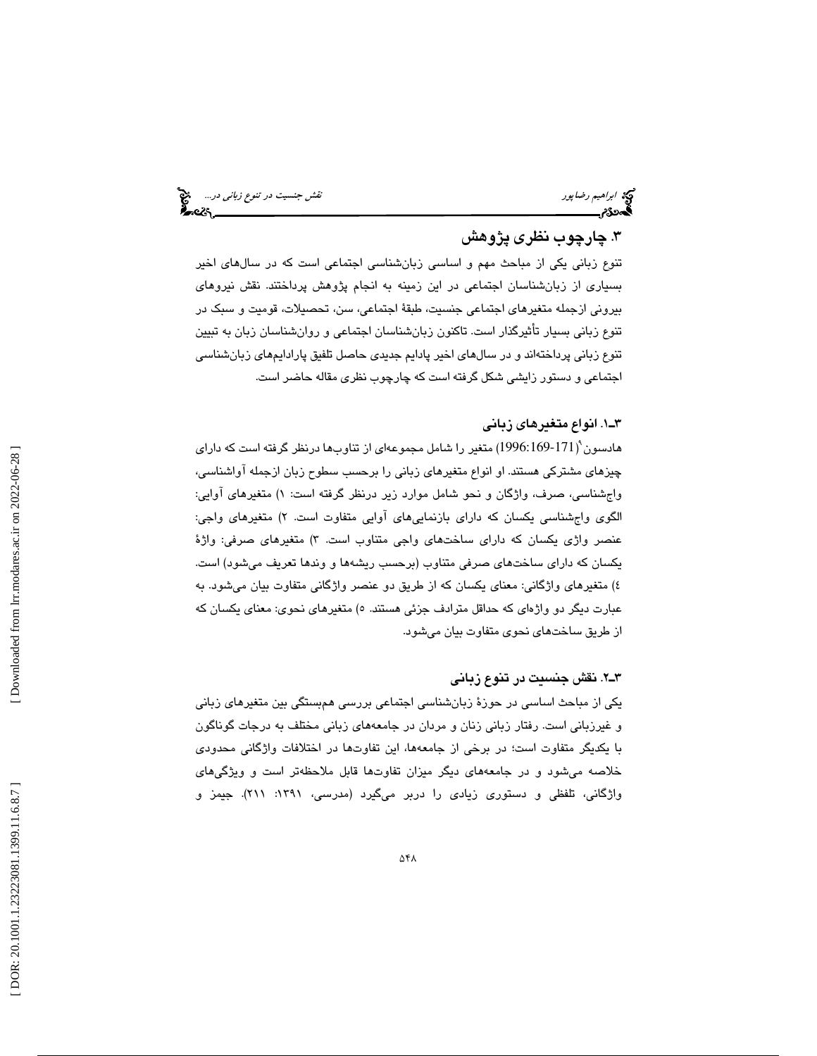ابراهيم رضاپور نقش جنسيت در تنوع زباني در...

# .3 چارچوب نظري پژوهش

تنوع زباني يكي از مباحث مهم و اساسي زبانشناسي اجتماعي است كه در سالهاي اخير بسياري از زبانشناسان اجتماعي در اين زمينه به انجام پژوهش پرداختند. نقش نيروهاي بيروني ازجمله متغيرهاي اجتماعي جنسيت، طبقة اجتماعي، سن، تحصيلات، قوميت و سبك در تنوع زباني بسيار تأثيرگذار است. تاكنون زبانشناسان اجتماعي و روانشناسان زبان به تبيين تنوع زباني پرداختهاند و در سالهاي اخير پادايم جديدي حاصل تلفيق پارادايمهاي زبانشناسي اجتماعي و دستور زايشي شكل گرفته است كه چارچوب نظري مقاله حاضر است.

### 1ـ3 . انواع متغيرهاي زباني

هادسون 9 1996:169-171) متغير را شامل مجموعهاي از تناوبها درنظر گرفته است كه داراي ) چيزهاي مشتركي هستند. او انواع متغيرهاي زباني را برحسب سطوح زبان ازجمله آواشناسي، واجشناسي، صرف، واژگان و نحو شامل موارد زير درنظر گرفته است: ۱) متغيرهاي آوايي: الگوی واجشناسی يكسان كه دارای بازنماییهای آوایی متفاوت است. ۲) متغیرهای واجی: عنصر واژي يكسان كه داراي ساختهاي واجي متناوب است. ٣) متغيرهاي صرفي: واژهٔ يكسان كه داراي ساختهاي صرفي متناوب (برحسب ريشهها و وندها تعريف ميشود) است. ) متغيرهاي واژگاني: معناي يكسان كه از طريق دو عنصر واژگاني متفاوت بيان ميشود. به 4 عبارت ديگر دو واژهای که حداقل مترادف جزئی هستند. ٥) متغیرهای نحوی: معنای یکسان که از طريق ساختهاي نحوي متفاوت بيان ميشود.

### 2ـ3 . نقش جنسيت در تنوع زباني

يكي از مباحث اساسي در حوزة زبانشناسي اجتماعي بررسي همبستگي بين متغيرهاي زباني و غيرزباني است. رفتار زباني زنان و مردان در جامعههاي زباني مختلف به درجات گوناگون با يكديگر متفاوت است؛ در برخي از جامعهها، اين تفاوتها در اختلافات واژگاني محدودي خلاصه میشود و در جامعههای دیگر میزان تفاوتها قابل ملاحظهتر است و ویژگیهای 9 واژگاني، تلفظي و دستوري زيادي را دربر ميگيرد (مدرسي، :1391 211). جيمز و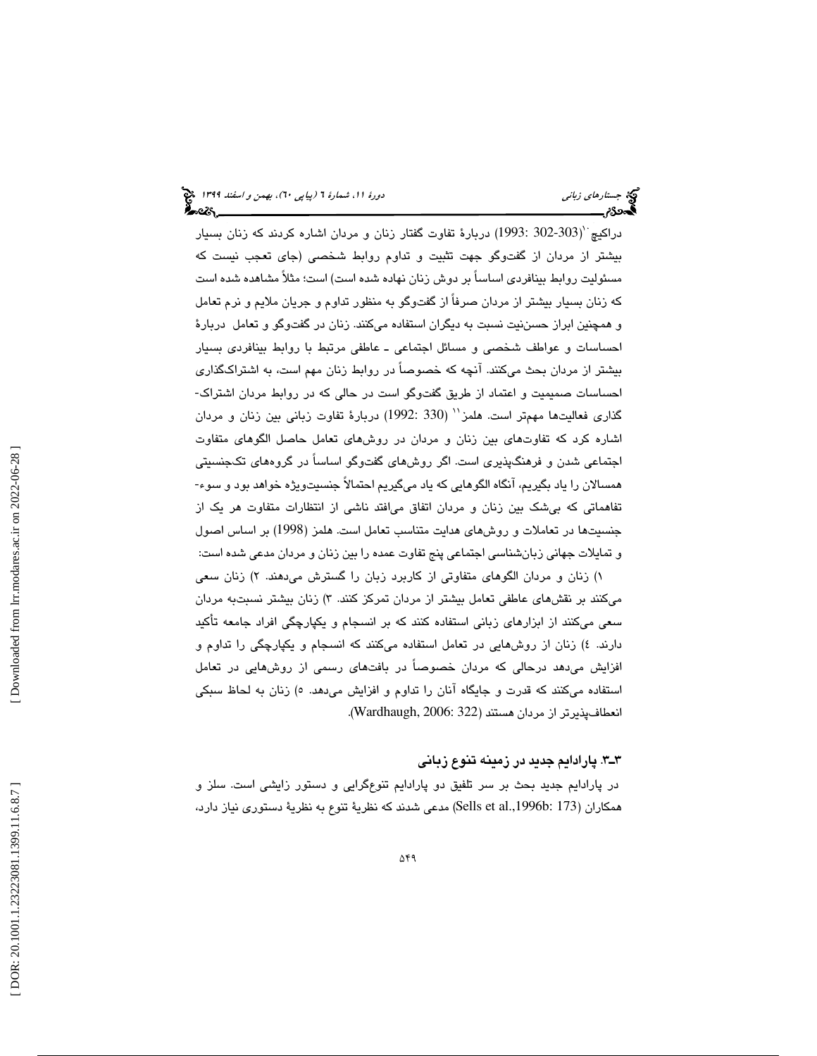دراكيچ ``(303-302 :1993) دربارهٔ تفاوت گفتار زنان و مردان اشاره كردند كه زنان بسيار بيشتر از مردان از گفتوگو جهت تثبيت و تداوم روابط شخصي (جاي تعجب نيست كه مسئوليت روابط بينافردي اساساً بر دوش زنان نهاده شده است) است؛ مثلاً مشاهده شده است كه زنان بسيار بيشتر از مردان صرفاً از گفتوگو به منظور تداوم و جريان ملايم و نرم تعامل و همچنين ابراز حسننيت نسبت به ديگران استفاده ميكنند. زنان در گفتوگو و تعامل دربارة احساسات و عواطف شخصي و مسائل اجتماعي ـ عاطفي مرتبط با روابط بينافردي بسيار بيشتر از مردان بحث ميكنند. آنچه كه خصوصاً در روابط زنان مهم است، به اشتراكگذاري احساسات صميميت و اعتماد از طريق گفتوگو است در حالي كه در روابط مردان اشتراك- گذاری فعالیتها مهمتر است. هلمز`` (330 :1992) دربارهٔ تفاوت زبانی بین زنان و مردان اشاره كرد كه تفاوتهاي بين زنان و مردان در روشهاي تعامل حاصل الگوهاي متفاوت اجتماعي شدن و فرهنگپذيري است. اگر روشهاي گفتوگو اساساً در گروههاي تكجنسيتي همسالان را ياد بگيريم، آنگاه الگوهايي كه ياد ميگيريم احتمالاً جنسيتويژه خواهد بود و سوء- تفاهماتي كه بيشك بين زنان و مردان اتفاق ميافتد ناشي از انتظارات متفاوت هر يك از جنسيتها در تعاملات و روشهاي هدايت متناسب تعامل است. هلمز (1998) بر اساس اصول و تمايلات جهاني زبانشناسي اجتماعي پنج تفاوت عمده را بين زنان و مردان مدعي شده است:

۱) زنان و مردان الگوهای متفاوتی از کاربرد زبان را گسترش میدهند. ۲) زنان سعی میكنند بر نقشهای عاطفی تعامل بیشتر از مردان تمركز كنند. ۳) زنان بیشتر نسبتبه مردان سعي ميكنند از ابزارهاي زباني استفاده كنند كه بر انسجام و يكپارچگي افراد جامعه تأكيد دارند. ٤) زنان از روشهايي در تعامل استفاده ميكنند كه انسجام و يكپارچگي را تداوم و افزايش ميدهد درحالي كه مردان خصوصاً در بافتهاي رسمي از روشهايي در تعامل استفاده ميكنند كه قدرت و جايگاه آنان را تداوم و افزايش ميدهد. ٥) زنان به لحاظ سبكي انعطافپذيرتر از مردان هستند (322 2006: ,Wardhaugh( .

#### 3ـ3 . پارادايم جديد در زمينه تنوع زباني

در پارادايم جديد بحث بر سر تلفيق دو پارادايم تنوعگرايي و دستور زايشي است. سلز و همكاران (173 :b.,1996al et Sells (مدعي شدند كه نظرية تنوع به نظرية دستوري نياز دارد،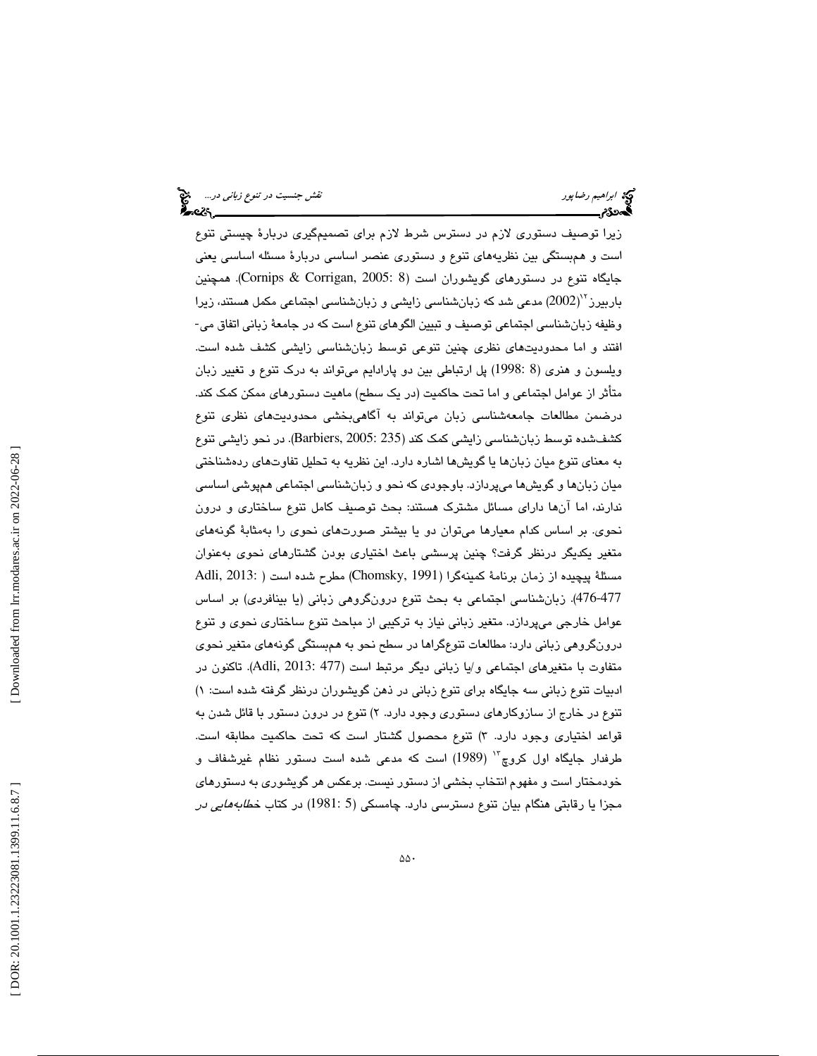ابراهيم *رضاپور نقش جنسيت در تنوع زباني در...*<br>ابراهيم رضاپور نقش جنسيت در تنوع زبان*ي در...*<br>**ابراهيم در تنوع برابراهيم به در تنوع برابراهيم به در تنوع زباني در تنوع زباني در تنوع زباني در...** 

زيرا توصيف دستوري لازم در دسترس شرط لازم براي تصميمگيري دربارة چيستي تنوع است و همبستگي بين نظريههاي تنوع و دستوري عنصر اساسي دربارة مسئله اساسي يعني جایگاه تنوع در دستورهای گویشوران است (Cornips & Corrigan, 2005: 8). همچنین<br>باربیرز<sup>۲</sup>'(2002) مدعی شد که زبانشناسی زایشی و زبانشناسی اجتماعی مکمل هستند، زیرا<br>وظیفه زبانشناسی اجتماعی توصیف و تبیین الگوهای تنوع است که در جام افتند و اما محدوديتهاي نظري چنين تنوعي توسط زبانشناسي زايشي كشف شده است. ويلسون و هنري (8 1998: ) پل ارتباطي بين دو پارادايم ميتواند به درك تنوع و تغيير زبان متأثر از عوامل اجتماعي و اما تحت حاكميت (در يك سطح) ماهيت دستورهاي ممكن كمك كند. درضمن مطالعات جامعهشناسي زبان ميتواند به آگاهيبخشي محدوديتهاي نظري تنوع كشفشده توسط زبانشناسي زايشي كمك كند ( 235 2005: ,Barbiers(. در نحو زايشي تنوع به معناي تنوع ميان زبانها يا گويشها اشاره دارد. اين نظريه به تحليل تفاوتهاي ردهشناختي ميان زبانها و گويشها ميپردازد. باوجودي كه نحو و زبانشناسي اجتماعي همپوشي اساسي ندارند، اما آنها داراي مسائل مشترك هستند: بحث توصيف كامل تنوع ساختاري و درون نحوي. بر اساس كدام معيارها ميتوان دو يا بيشتر صورتهاي نحوي را بهمثابة گونههاي متغير يكديگر درنظر گرفت؟ چنين پرسشي باعث اختياري بودن گشتارهاي نحوي بهعنوان مسئلة پيچيده از زمان برنامة كمينهگرا (1991 ,Chomsky (مطرح شده است ( 2013: ,Adli 476-477). زبانشناسي اجتماعي به بحث تنوع درونگروهي زباني (يا بينافردي) بر اساس عوامل خارجي ميپردازد. متغير زباني نياز به تركيبي از مباحث تنوع ساختاري نحوي و تنوع درونگروهي زباني دارد: مطالعات تنوعگراها در سطح نحو به همبستگي گونههاي متغير نحوي متفاوت با متغيرهاي اجتماعي و/يا زباني ديگر مرتبط است (477 2013: ,Adli(. تاكنون در ادبيات تنوع زباني سه جايگاه براي تنوع زباني در ذهن گويشوران درنظر گرفته شده است: ) 1 تنوع در خارج از سازوکارهاي دستوري وجود دارد. ۲) تنوع در درون دستور با قائل شدن به قواعد اختياري وجود دارد. ٣) تنوع محصول گشتار است كه تحت حاكميت مطابقه است. طرفدار جايگاه اول كروچ"` (1989) است كه مدعى شده است دستور نظام غيرشفاف و خودمختار است و مفهوم انتخاب بخشي از دستور نيست. برعكس هر گويشوري به دستورهاي مجزا يا رقابتي هنگام بيان تنوع دسترسي دارد. چامسكي (5 1981:) در كتاب خطابههايي در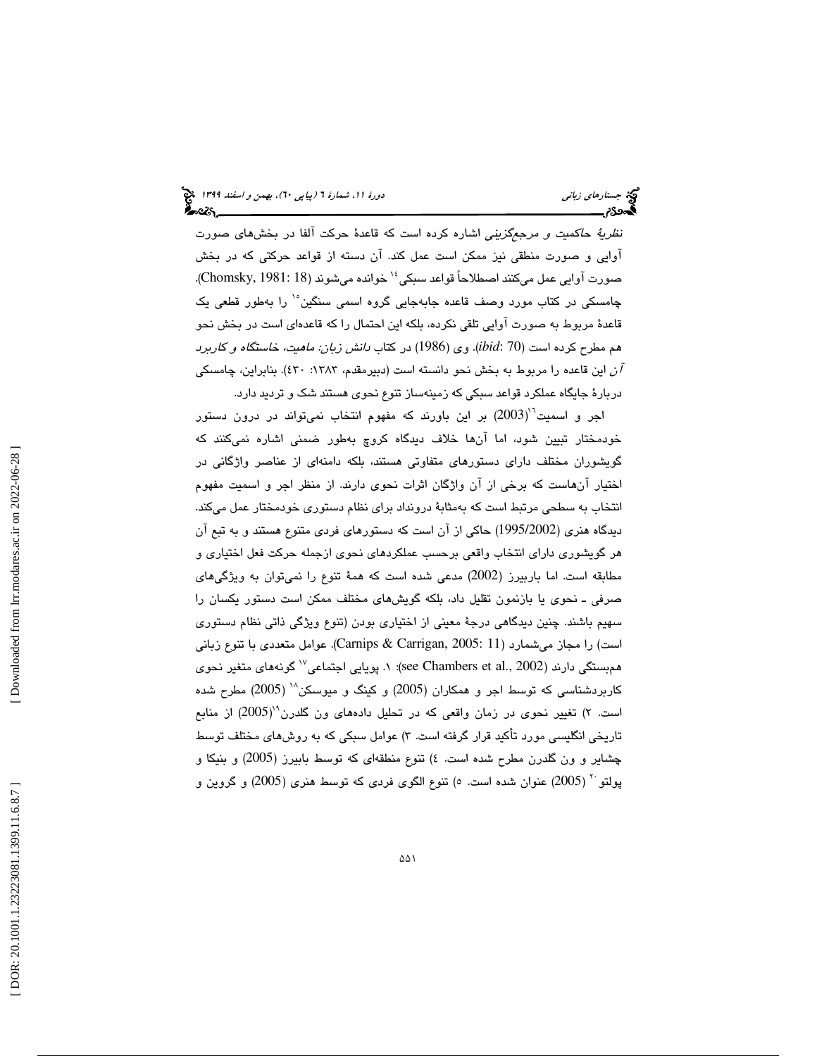نظرية حاكميت و مرجعگزيني اشاره كرده است كه قاعدة حركت آلفا در بخشهاي صورت آوايي و صورت منطقي نيز ممكن است عمل كند. آن دسته از قواعد حركتي كه در بخش خوانده ميشوند (18 1981: ,Chomsky(. <sup>14</sup> صورت آوايي عمل ميكنند اصطلاحاً قواعد سبكي چامسكي در كتاب مورد وصف قاعده جابهجايي گروه اسمي سنگين°` را بهطور قطعي يک قاعدة مربوط به صورت آوايي تلقي نكرده، بلكه اين احتمال را كه قاعدهاي است در بخش نحو هم مطرح كرده است (70 :*ibid*(. وي (1986) در كتاب دانش زبان: ماهيت، خاستگاه و كاربرد ن اين قاعده را مربوط به بخش نحو دانسته است (دبيرمقدم، ١٣٨٣: ٤٣٠). بنابراين، چامسكي  $\tilde{l}$ دربارة جايگاه عملكرد قواعد سبكي كه زمينهساز تنوع نحوي هستند شك و ترديد دارد.

اجر و اسمیت $^{\prime\prime}$ (2003) بر این باورند كه مفهوم انتخاب نمیتواند در درون دستور خودمختار تبيين شود، اما آنها خلاف ديدگاه كروچ بهطور ضمني اشاره نميكنند كه گويشوران مختلف داراي دستورهاي متفاوتي هستند، بلكه دامنهاي از عناصر واژگاني در اختيار آنهاست كه برخي از آن واژگان اثرات نحوي دارند. از منظر اجر و اسميت مفهوم انتخاب به سطحي مرتبط است كه بهمثابة درونداد براي نظام دستوري خودمختار عمل ميكند. ديدگاه هنري (1995/2002) حاكي از آن است كه دستورهاي فردي متنوع هستند و به تبع آن هر گويشوري داراي انتخاب واقعي برحسب عملكردهاي نحوي ازجمله حركت فعل اختياري و مطابقه است. اما باربيرز (2002) مدعي شده است كه همة تنوع را نميتوان به ويژگيهاي صرفي ـ نحوي يا بازنمون تقليل داد، بلكه گويشهاي مختلف ممكن است دستور يكسان را سهيم باشند. چنين ديدگاهي درجة معيني از اختياري بودن (تنوع ويژگي ذاتي نظام دستوري است) را مجاز ميشمارد (11 2005: ,Carrigan & Carnips(. عوامل متعددي با تنوع زباني هم بستگي دارند (2002 .see Chambers et al): ١. پويايي اجتماعي `` گونههاي متغير نحوي كاربردشناسي كه توسط اجر و همكاران (2005) و كينگ و ميوسكن<sup>۱۸</sup> (2005) مطرح شده است. ۲) تغيير نحوي در زمان واقعي كه در تحليل دادههاي ون گلدرن<sup>۱۹</sup>(2005) از منابع تاريخي انگليسي مورد تأكيد قرار گرفته است. ۳) عوامل سبكي كه به روشهاي مختلف توسط چشاير و ون گلدرن مطرح شده است. ٤) تنوع منطقهای كه توسط بابيرز (2005) و بنيكا و ( 2005) عنوان شده است. 5) تنوع الگوي فردي كه توسط هنري (2005) و گروين و <sup>20</sup> پولتو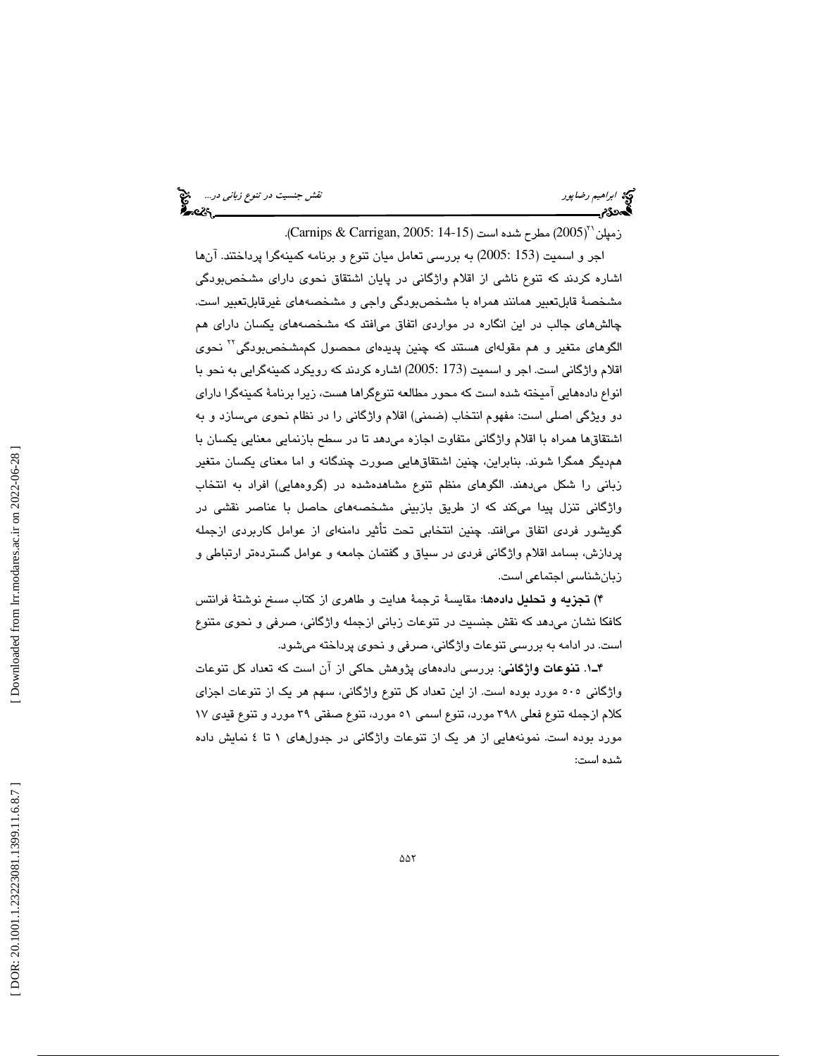ابراهيم *رضا*پور نقش جنسيت د*ر تنوع زباني در...*... اب**اع**<br>اب**اده** ابراهيم رضا پور<br>ا**بلدودی نقش به اباده در تنوع در ابتدای به ابتدای به ابتدای به ابتدای به ابتدای ابتدای ابتدای ابتدای ابتدای ابتدای** 

زمپلن ``(2005) مطرح شده است (Carnips & Carrigan, 2005: 14-15).

اجر و اسميت (153 2005:) به بررسي تعامل ميان تنوع و برنامه كمينهگرا پرداختند. آنها اشاره كردند كه تنوع ناشي از اقلام واژگاني در پايان اشتقاق نحوي داراي مشخصبودگي مشخصة قابلتعبير همانند همراه با مشخصبودگي واجي و مشخصههاي غيرقابلتعبير است. چالشهاي جالب در اين انگاره در مواردي اتفاق ميافتد كه مشخصههاي يكسان داراي هم الگوهاي متغير و هم مقولهاي هستند كه چنين پديدهاي محصول كممشخصبودگي™ نحوي اقلام واژگانی است. اجر و اسمیت (173 :2005) اشاره کردند که رویکرد کمینهگرایی به نحو با انواع دادههايي آميخته شده است كه محور مطالعه تنوعگراها هست، زيرا برنامة كمينهگرا داراي دو ويژگي اصلي است: مفهوم انتخاب (ضمني) اقلام واژگاني را در نظام نحوي ميسازد و به اشتقاقها همراه با اقلام واژگاني متفاوت اجازه ميدهد تا در سطح بازنمايي معنايي يكسان با همديگر همگرا شوند. بنابراين، چنين اشتقاقهايي صورت چندگانه و اما معناي يكسان متغير زباني را شكل ميدهند. الگوهاي منظم تنوع مشاهدهشده در (گروههايي) افراد به انتخاب واژگاني تنزل پيدا ميكند كه از طريق بازبيني مشخصههاي حاصل با عناصر نقشي در گويشور فردي اتفاق ميافتد. چنين انتخابي تحت تأثير دامنهاي از عوامل كاربردي ازجمله پردازش، بسامد اقلام واژگاني فردي در سياق و گفتمان جامعه و عوامل گستردهتر ارتباطي و زبانشناسي اجتماعي است.

۴) **تجزيه و تحليل دادهه**ا: مقايسةً ترجمةً هدايت و طاهرى از كتاب *مسخ* نوشتةً فرانتس كافكا نشان ميدهد كه نقش جنسيت در تنوعات زباني ازجمله واژگاني، صرفي و نحوي متنوع است. در ادامه به بررسي تنوعات واژگاني، صرفي و نحوي پرداخته ميشود.

1ـ4 . تنوعات واژگاني: بررسي دادههاي پژوهش حاكي از آن است كه تعداد كل تنوعات واژگاني 505 مورد بوده است. از اين تعداد كل تنوع واژگاني، سهم هر يك از تنوعات اجزاي كلام ازجمله تنوع فعلي 398 مورد، تنوع اسمي 51 مورد، تنوع صفتي 39 مورد و تنوع قيدي 17 مورد بوده است. نمونههايي از هر يك از تنوعات واژگاني در جدولهاي 1 تا 4 نمايش داده شده است: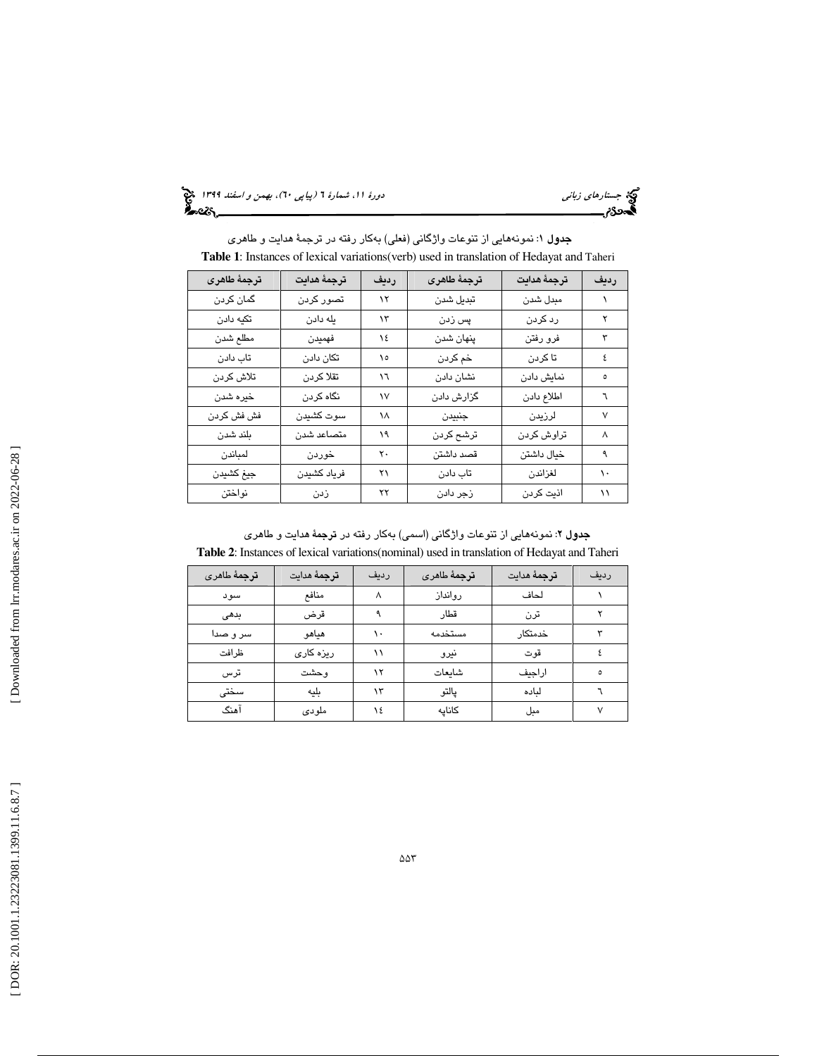(پياپي 60)، بهمن و اسفند 1399

كية جستار*هاي زباني*<br>**اگ**دهكام

| <b>Table 1:</b> Instances of lexical variations (verb) used in translation of Hedayat and Taheri |             |      |             |             |      |  |
|--------------------------------------------------------------------------------------------------|-------------|------|-------------|-------------|------|--|
| ترجمة طاهرى                                                                                      | ترجمة هدايت | رديف | ترجمة طاهرى | ترجمة هدايت | رديف |  |
| گمان کردن                                                                                        | تصور کردن   | ۱۲   | تبديل شدن   | مبدل شدن    |      |  |
| تكيه دادن                                                                                        | يله دادن    | ۱۳   | پس زدن      | رد کردن     | ۲    |  |
| مطلع شدن                                                                                         | فهميدن      | ١٤   | پنهان شدن   | فرو رفتن    | ٣    |  |
| تاب دادن                                                                                         | تكان دادن   | ۱٥   | خم کردن     | تا کردن     | ٤    |  |
| تلاش كردن                                                                                        | تقلا كردن   | ١٦   | نشان دادن   | نمایش دادن  |      |  |
| خيره شدن                                                                                         | نگاه کردن   | ۱۷   | گزارش دادن  | اطلاع دادن  | ٦    |  |
| فش فش كردن                                                                                       | سوت كشيدن   | ۱۸   | جنبيدن      | لرزيدن      | ٧    |  |
| بلند شدن                                                                                         | متصاعد شدن  | ۱۹   | ترشح كردن   | تراوش كردن  | ٨    |  |
| لمباندن                                                                                          | خوردن       | ٢٠   | قصد داشتن   | خيال داشتن  | ٩    |  |
| جيغ كشيدن                                                                                        | فرياد كشيدن | ۲۱   | تاب دادن    | لغزاندن     | ۱۰   |  |
| نواختن                                                                                           | زدن         | ۲۲   | زجر دادن    | اذيت كردن   | ۱۱   |  |

**جدول ۱**: نمونههايي از تنوعات واژگاني (فعلي) بهكار رفته در ترجمهٔ هدايت و طاهر*ي* 

<mark>جدول ۲</mark>: نمونههايي از تنوعات واژگاني (اسمي) بهکار رفته در **ترج**مهٔ *ه*دايت و طاهري **Table 2**: Instances of lexical variations(nominal) used in translation of Hedayat and Taheri

| ترجمهٔ طاهری | <b>ترج</b> مهٔ هدایت | رديف | ترجمهٔ طاهری | <b>ترج</b> مهٔ مدایت | رديف |
|--------------|----------------------|------|--------------|----------------------|------|
| سود          | منافع                | л    | روانداز      | لحاف                 |      |
| بدهى         | قرض                  |      | قطار         | ترن                  |      |
| سر و صدا     | هياهو                |      | مستخدمه      | خدمتكار              |      |
| ظرافت        | ریزہ کاری            |      | نيرو         | قوت                  |      |
| ترس          | وحشت                 | ۱۲   | شاىعات       | اراجيف               | ٥    |
| سختى         | بليه                 | ۱۳   | يالتو        | لىادە                |      |
| آهنگ         | ملودى                | ١٤   | كاناىه       | مبل                  |      |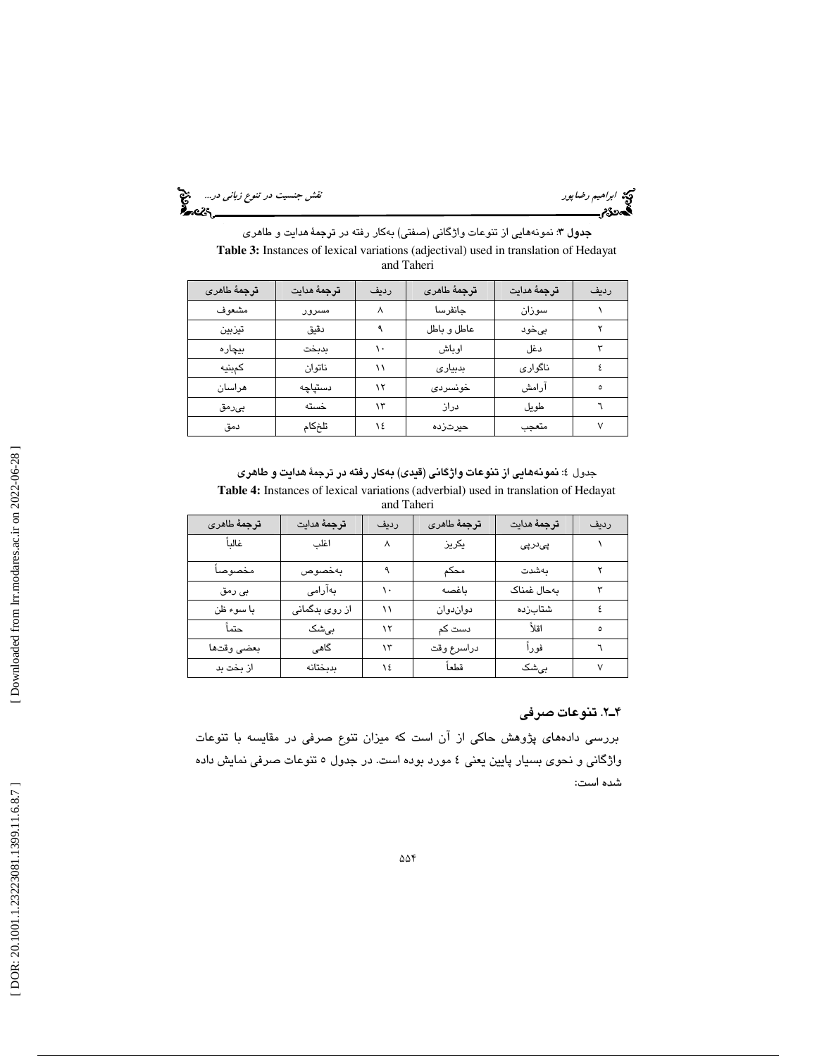ابراهيم رضا پور نقش جنسيت د*ر تنوع زباني در...*... اب<mark>ني</mark><br>اب**اده** در تنوع زباني در...<br>ا**بتدو**8م سيست بين المرحلة المرحلة المرحلة المرحلة المرحلة المرحلة المرحلة المرحلة المرحلة المرحلة المرحلة المرحلة

جدول 3: نمونههايي از تنوعات واژگاني (صفتي) بهكار رفته در ترجمة هدايت و طاهري **Table 3:** Instances of lexical variations (adjectival) used in translation of Hedayat and Taheri

| ترجمهٔ طاهری | ترجمهٔ مدایت | رديف | ترجمهٔ طامری | ترجمهٔ مدایت | رديف |
|--------------|--------------|------|--------------|--------------|------|
| مشعوف        | مسرور        |      | جانفرسا      | سوزان        |      |
| تيزبين       | دقيق         |      | عاطل و باطل  | بىخود        |      |
| بيچاره       | بدبخت        |      | اوباش        | دغل          |      |
| كمبنيه       | ناتوان       |      | بدبيارى      | ناگواري      |      |
| هراسان       | دستپاچه      | ۱۲   | خونسردى      | آرامش        |      |
| بىرمق        | خسته         | ۱۳   | دراز         | طويل         |      |
| دمق          | تلخكام       | ١٤   | حيرتزده      | متعجب        |      |

جدول 4: نمونههايي از تنوعات واژگاني (قيدي) بهكار رفته در ترجمة هدايت و طاهري **Table 4:** Instances of lexical variations (adverbial) used in translation of Hedayat and Taheri

| <b>ترج</b> مهٔ طا <i>هری</i> | ترجمهٔ مدایت   | رديف | <b>ترج</b> مهٔ طا <i>هری</i> | ترجمة هدايت | رديف |
|------------------------------|----------------|------|------------------------------|-------------|------|
| غالىأ                        | اغلب           | ٨    | يكريز                        | ېئدرېئ      |      |
| مخصوصأ                       | بەخصوص         |      | محكم                         | بەشدت       |      |
| بى رمق                       | بەآرامى        |      | باغصه                        | بەحال غمناک |      |
| با سوء ظن                    | از روی بدگمانی |      | دواندوان                     | شتابزده     |      |
| حتمأ                         | بىشک           | ۱۲   | دست کم                       | اقلأ        | ٥    |
| بعضى وقتها                   | گاهی           | ۱۳   | دراسرع وقت                   | فورأ        |      |
| از بخت بد                    | بدبختانه       | ١٤   | قطعاً                        | بے شک       |      |

## 2ـ4 . تنوعات صرفي

بررسي دادههاي پژوهش حاكي از آن است كه ميزان تنوع صرفي در مقايسه با تنوعات واژگاني و نحوي بسيار پايين يعني 4 مورد بوده است. در جدول 5 تنوعات صرفي نمايش داده شده است:

Downloaded from lrr.modares.ac.ir on 2022-06-28]  [\[ DOR: 20.1001.1.23223081.1399.11.6.8.7](https://dorl.net/dor/20.1001.1.23223081.1399.11.6.8.7) ] [\[ Downloaded from lrr.modares.ac.ir on 20](https://lrr.modares.ac.ir/article-14-27240-fa.html)22-06-28 ]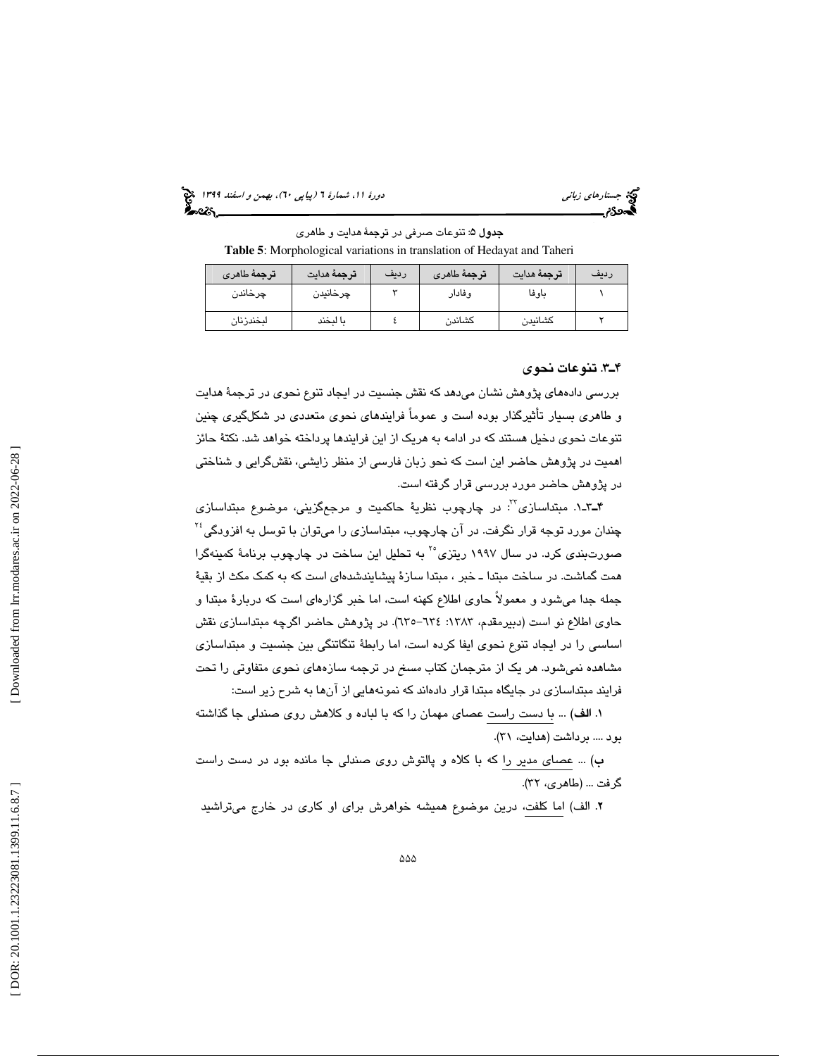(پياپي 60)، بهمن و اسفند 1399 جستارهاي زباني دورة ،11 شمارة 6

جدول ۵: تنوعات صرفی در ترجمهٔ هدایت و طاهری **Table 5**: Morphological variations in translation of Hedayat and Taheri

| ترجمهٔ طاهری | ترجمهٔ هدایت | رديف | ترجمهٔ طاهری | <b>ترجمهٔ م</b> دایت | رديف |
|--------------|--------------|------|--------------|----------------------|------|
| چرخاندن      | چرخانیدن     |      | وفادار       | باوفا                |      |
| لبخندزنان    | ىا لىخند     |      | كشاندن       | كشانيدن              |      |

#### 3ـ4 . تنوعات نحوي

بررسي دادههاي پژوهش نشان ميدهد كه نقش جنسيت در ايجاد تنوع نحوي در ترجمة هدايت و طاهري بسيار تأثيرگذار بوده است و عموماً فرايندهاي نحوي متعددي در شكلگيري چنين تنوعات نحوي دخيل هستند كه در ادامه به هريك از اين فرايندها پرداخته خواهد شد. نكتة حائز اهميت در پژوهش حاضر اين است كه نحو زبان فارسي از منظر زايشي، نقشگرايي و شناختي در پژوهش حاضر مورد بررسي قرار گرفته است.

ـ4 1ـ3 . مبتداسازي : در چارچوب نظرية حاكميت و مرجعگزيني، موضوع مبتداسازي <sup>23</sup>  $^{16}$ چندان مورد توجه قرار نگرفت. در آن چارچوب، مبتداسازی را میتوان با توسل به افزودگی صورت $بندی کرد. در سال ۱۹۹۷ ریتزی<sup>۲۰</sup> به تحلیل این ساخت در چارچوب برنامهٔ کمینهگرا$ همت گماشت. در ساخت مبتدا ـ خبر ، مبتدا سازة پيشايندشدهاي است كه به كمك مكث از بقية جمله جدا ميشود و معمولاً حاوي اطلاع كهنه است، اما خبر گزارهاي است كه دربارة مبتدا و حاوي اطلاع نو است (دبيرمقدم، ١٣٨٣: ٦٣٤–٦٣٥). در پژوهش حاضر اگرچه مبتداسازي نقش اساسي را در ايجاد تنوع نحوي ايفا كرده است، اما رابطة تنگاتنگي بين جنسيت و مبتداسازي مشاهده نميشود. هر يك از مترجمان كتاب مسخ در ترجمه سازههاي نحوي متفاوتي را تحت فرايند مبتداسازي در جايگاه مبتدا قرار دادهاند كه نمونههايي از آنها به شرح زير است:

. الف) ... با دست راست عصاي مهمان را كه با لباده و كلاهش روي صندلي جا گذاشته 1 بود .... برداشت (هدايت، ٣١).

ب) ... عصاي مدير را كه با كلاه و پالتوش روي صندلي جا مانده بود در دست راست گرفت ... (طاهری، ۳۲).

2. الف) اما كلفت، درين موضوع هميشه خواهرش براي او كاري در خارج ميتراشيد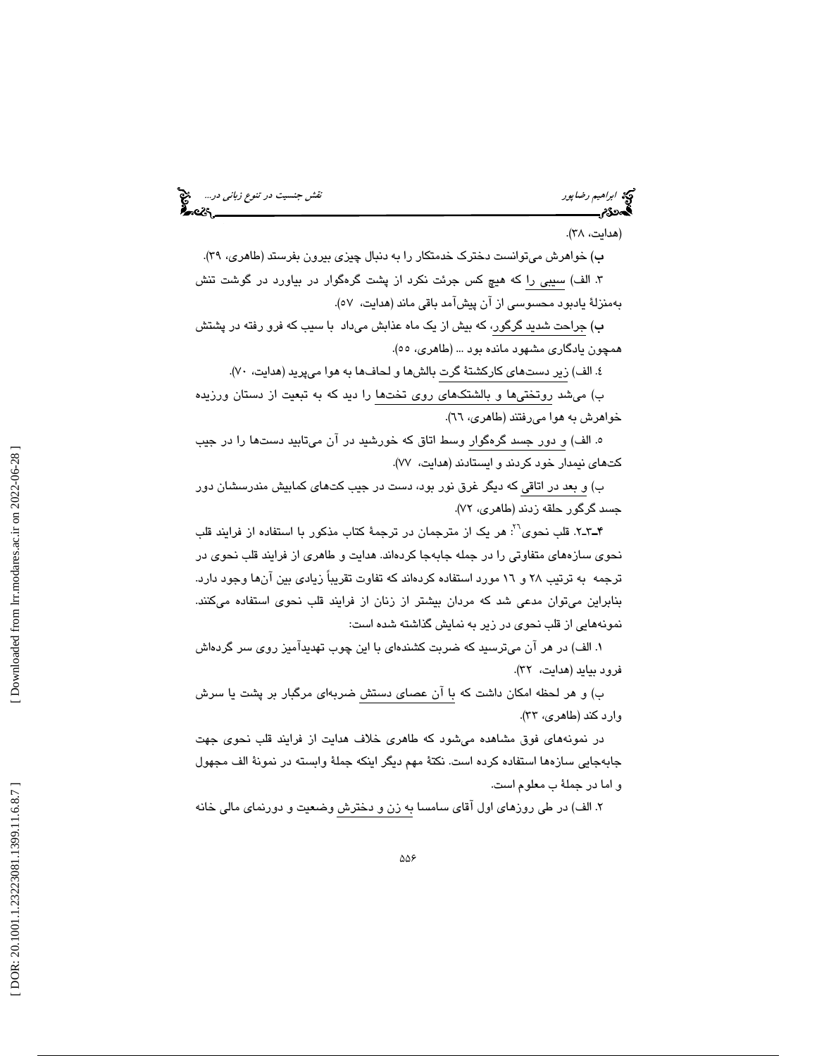ابراهيم *رضا*پور نقش جنسيت در تن*وع زباني در...*... اب**ني**<br>ابتدائ ابراهيم رضا پور

(هدايت، ٣٨).

ب) خواهرش ميتوانست دخترک خدمتکار را به دنبال چيزي بيرون بفرستد (طاهري، ٣٩). الف) سيبي را كه هيچ كس جرئت نكرد از پشت گرهگوار در بياورد در گوشت تنش 3 . بهمنزلة يادبود محسوسي از آن پيشآمد باقي ماند (هدايت، )57.

ب) جراحت شديد گرگور، كه بيش از يك ماه عذابش ميداد با سيب كه فرو رفته در پشتش همچون يادگاري مشهود مانده بود ... (طاهري، ٥٥).

٤. الف) زير دستهای كاركشتهٔ گرت بالشها و لحافها به هوا میپرید (هدایت، ۷۰).

ب) ميشد روتختيها و بالشتكهاي روي تخت ها را ديد كه به تبعيت از دستان ورزيده خواهرش به هوا مي رفتند (طاهري، ٦٦).

ه. الف) و دور جسد گرهگوار وسط اتاق كه خورشيد در آن ميتابيد دستها را در جيب كتهاي نيمدار خود كردند و ايستادند (هدايت، ٧٧).

ب) و بعد در اتاقي كه ديگر غرق نور بود، دست در جيب كتهاي كمابيش مندرسشان دور جسد گرگور حلقه زدند (طاهري، ۷۲).

ـ4 2ـ3 . قلب نحوي : هر يك از مترجمان در ترجمة كتاب مذكور با استفاده از فرايند قلب <sup>26</sup> نحوي سازههاي متفاوتي را در جمله جابهجا كردهاند. هدايت و طاهري از فرايند قلب نحوي در ترجمه به ترتيب ٢٨ و ١٦ مورد استفاده كردهاند كه تفاوت تقريباً زيادي بين آنها وجود دارد. بنابراين ميتوان مدعي شد كه مردان بيشتر از زنان از فرايند قلب نحوي استفاده ميكنند. نمونههايي از قلب نحوي در زير به نمايش گذاشته شده است:

1. الف) در هر آن ميترسيد كه ضربت كشندهاي با اين چوب تهديدآميز روي سر گردهاش فرود بيايد (هدايت، ٣٢).

ب) و هر لحظه امكان داشت كه با آن عصاي دستش ضربهاي مرگبار بر پشت يا سرش وارد كند (طاهري، ٣٣).

در نمونههاي فوق مشاهده ميشود كه طاهري خلاف هدايت از فرايند قلب نحوي جهت جابهجايي سازهها استفاده كرده است. نكتة مهم ديگر اينكه جملة وابسته در نمونة الف مجهول و اما در جملة ب معلوم است.

. الف) در طي روزهاي اول آقاي سامسا به زن و دخترش وضعيت و دورنماي مالي خانه 2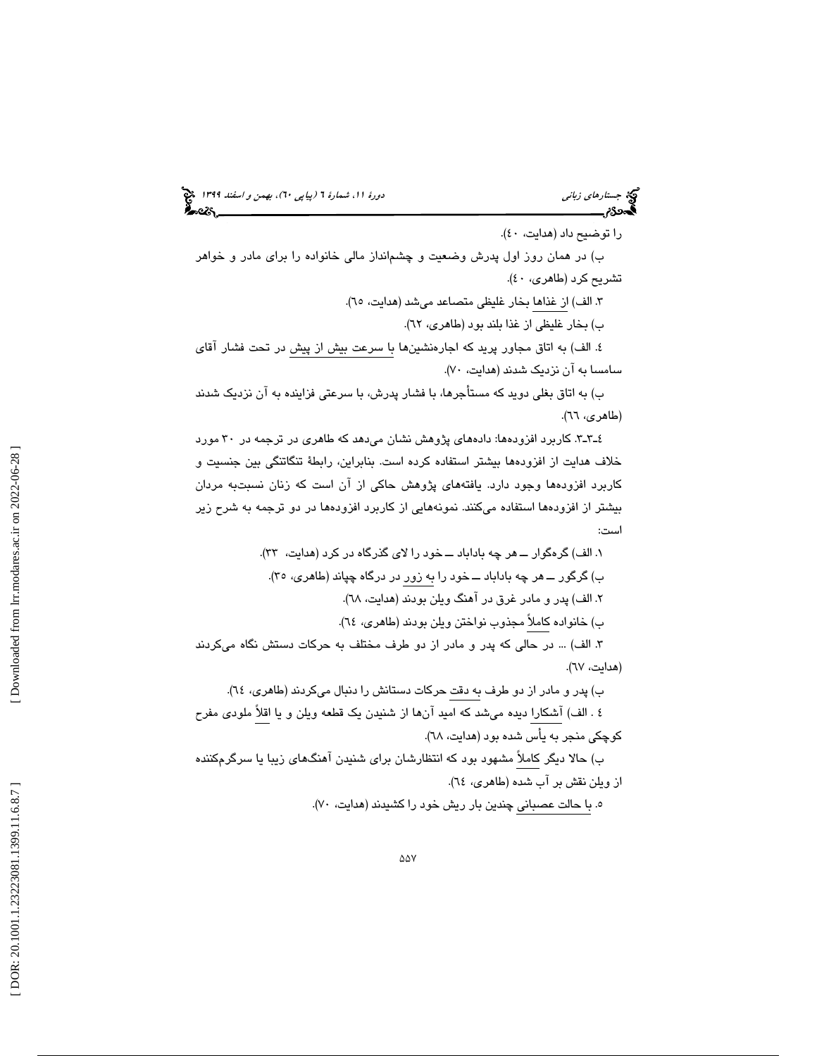# (پياپي 60)، بهمن و اسفند 1399 جستارهاي زباني دورة ،11 شمارة 6

را توضيح داد (هدايت، ٤٠). ب) در همان روز اول پدرش وضعيت و چشمانداز مالي خانواده را براي مادر و خواهر تشريح كرد (طاهري، ٤٠). ۳. الف) از غذاها بخار غليظى متصاعد مىشد (هدايت، ٦٥). ب) بخار غليظي از غذا بلند بود (طاهري، ٦٢). ٤. الف) به اتاق مجاور پريد كه اجارهنشينها با سرعت بيش از پيش در تحت فشار آقاي سامسا به آن نزديک شدند (هدايت، ۷۰). ب) به اتاق بغلي دويد كه مستأجرها، با فشار پدرش، با سرعتي فزاينده به آن نزديك شدند (طاهري، ٦٦).

3ـ3ـ4 . كاربرد افزودهها: دادههاي پژوهش نشان ميدهد كه طاهري در ترجمه در 30 مورد خلاف هدايت از افزودهها بيشتر استفاده كرده است. بنابراين، رابطة تنگاتنگي بين جنسيت و كاربرد افزودهها وجود دارد. يافتههاي پژوهش حاكي از آن است كه زنان نسبتبه مردان بيشتر از افزودهها استفاده ميكنند. نمونههايي از كاربرد افزودهها در دو ترجمه به شرح زير است:

. الف) گرهگوار ــ هر چه باداباد ــ خود را لاي گذرگاه در كرد (هدايت، )33. 1 ب) گرگور ــ هر چه باداباد ــ خود را به زور در درگاه چپاند (طاهري، )35. . الف) پدر و مادر غرق در آهنگ ويلن بودند (هدايت، )68. 2 ب) خانواده كاملاً مجذوب نواختن ويلن بودند (طاهري، )64. . الف) ... در حالي كه پدر و مادر از دو طرف مختلف به حركات دستش نگاه ميكردند 3 (هدايت، )67. ب) پدر و مادر از دو طرف به دقت حركات دستانش را دنبال ميكردند (طاهري، 64 ). 4 . الف) آشكارا ديده ميشد كه اميد آنها از شنيدن يك قطعه ويلن و يا اقلاً ملودي مفرح كوچكي منجر به يأس شده بود (هدايت، 68 ). ب) حالا ديگر كاملاً مشهود بود كه انتظارشان براي شنيدن آهنگهاي زيبا يا سرگرمكننده از ويلن نقش بر آب شده (طاهري، )64.

ه. با حالت عصباني چندين بار ريش خود را كشيدند (هدايت، ۷۰).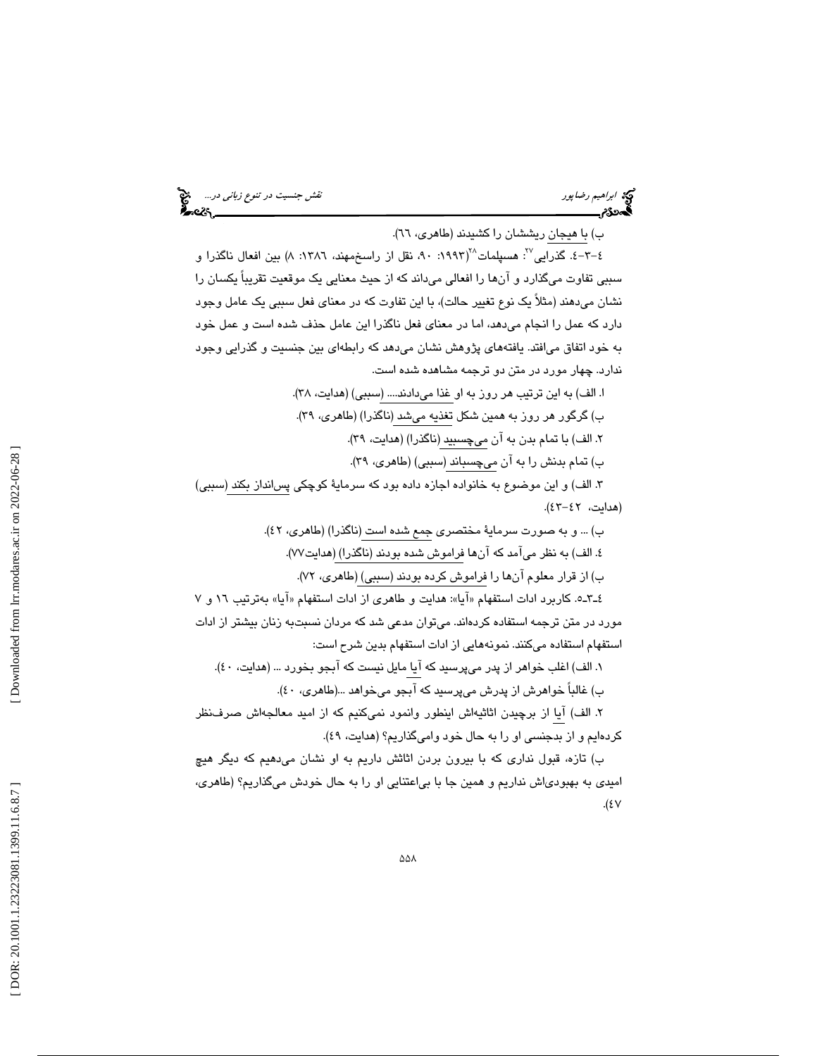ابراهيم رضاپور نقش جنسيت در تنوع زباني در...

ب) با هيجان ريششان را كشيدند (طاهري، ٦٦).

٤–٣–٤. گذرايي<sup>70</sup>: هسپلمات<sup>71</sup>(١٩٩٣: ٩٠، نقل از راسخمهند، ١٣٨٦: ٨) بين افعال ناگذرا و سببي تفاوت ميگذارد و آنها را افعالي ميداند كه از حيث معنايي يك موقعيت تقريباً يكسان را نشان ميدهند (مثلاً يك نوع تغيير حالت)، با اين تفاوت كه در معناي فعل سببي يك عامل وجود دارد كه عمل را انجام ميدهد، اما در معناي فعل ناگذرا اين عامل حذف شده است و عمل خود به خود اتفاق ميافتد. يافتههاي پژوهش نشان ميدهد كه رابطهاي بين جنسيت و گذرايي وجود ندارد. چهار مورد در متن دو ترجمه مشاهده شده است.

ا. الف) به اين ترتيب هر روز به او غذا ميدادند.... (سببي) (هدايت، ٣٨). ب) گرگور هر روز به همين شكل تغذيه ميشد (ناگذرا) (طاهري، ٣٩). ۲. الف) با تمام بدن به آن ميچسبيد (ناگذرا) (هدايت، ۳۹). ب) تمام بدنش را به آن ميچسباند (سببي) (طاهري، ٣٩).

. الف) و اين موضوع به خانواده اجازه داده بود كه سرماية كوچكي پسانداز بكند (سببي) 3 (هدايت، ٤٢-٤٢).

ب) ... و به صورت سرماية مختصري جمع شده است (ناگذرا) (طاهري، )42. . الف) به نظر ميآمد كه آنها فراموش شده بودند (ناگذرا) (هدايت )77. 4 ب) از قرار معلوم آنها را فراموش كرده بودند (سببي) (طاهري، )72.

٤ـ٣ـد. كاربرد ادات استفهام «آيا»: هدايت و طاهري از ادات استفهام «آيا» بهترتيب ١٦ و ٧ مورد در متن ترجمه استفاده كردهاند. ميتوان مدعي شد كه مردان نسبتبه زنان بيشتر از ادات استفهام استفاده ميكنند. نمونههايي از ادات استفهام بدين شرح است:

. الف) اغلب خواهر از پدر ميپرسيد كه آيا مايل نيست كه آبجو بخورد ... (هدايت، )40. 1 ب) غالباً خواهرش از پدرش ميپرسيد كه آبجو ميخواهد ...(طاهري، 40 ).

. الف) آيا از برچيدن اثاثيهاش اينطور وانمود نميكنيم كه از اميد معالجهاش صرفنظر 2 كردهايم و از بدجنسي او را به حال خود واميگذاريم؟ (هدايت، ٤٩).

ب) تازه، قبول نداري كه با بيرون بردن اثاثش داريم به او نشان ميدهيم كه ديگر هيچ اميدي به بهبودياش نداريم و همين جا با بياعتنايي او را به حال خودش ميگذاريم؟ (طاهري،  $.$ (٤٧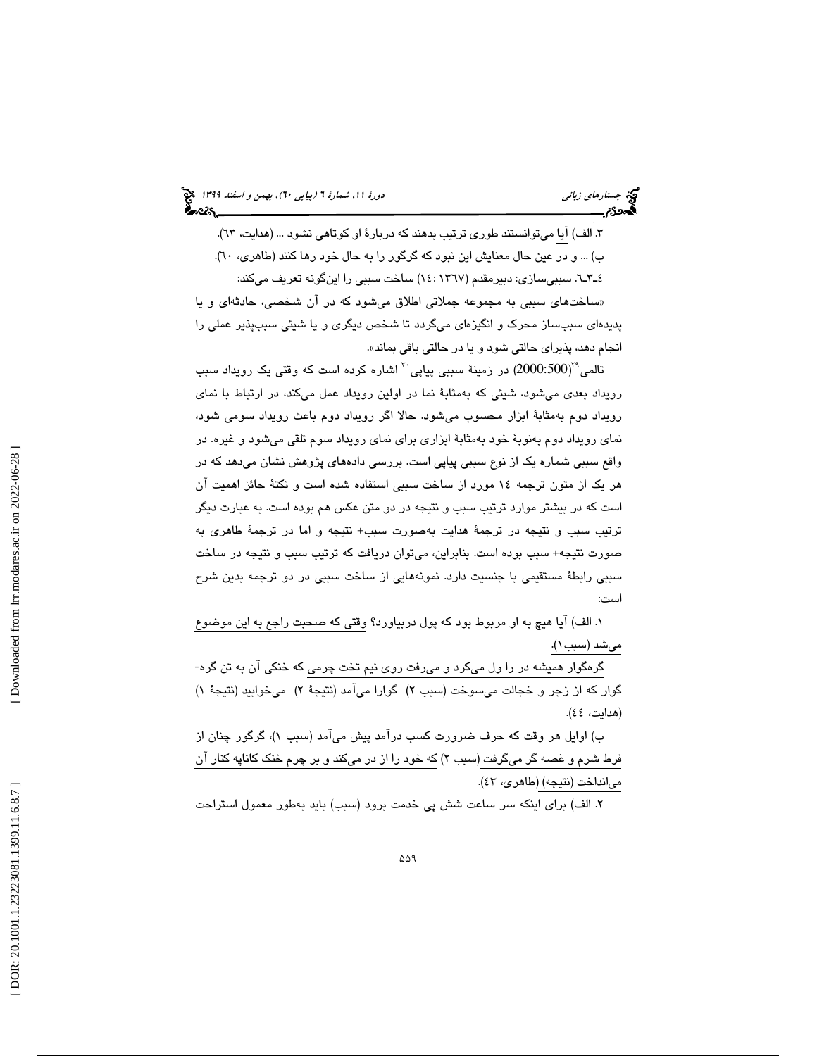۳. الف) آیا میتوانستند طوری ترتیب بدهند که دربارهٔ او کوتاهی نشود … (هدایت، ٦٣). ب) ... و در عين حال معنايش اين نبود كه گرگور را به حال خود رها كنند (طاهري، ٦٠). 6ـ3ـ4 . سببيسازي: دبيرمقدم (1367 : 14) ساخت سببي را اينگونه تعريف ميكند: ساختهاي سببي به مجموعه جملاتي اطلاق ميشود كه در آن شخصي، حادثهاي و يا » پديدهاي سببساز محرك و انگيزهاي ميگردد تا شخص ديگري و يا شيئي سببپذير عملي را نجام دهد، پذيراي حالتي شود و يا در حالتي باقي بماند ». ا

تالمی $^{2000:500}$ ) در زمینهٔ سببی پیاپی $^{\text{v}}$  اشاره کرده است که وقتی یک رویداد سبب رويداد بعدي ميشود، شيئي كه بهمثابة نما در اولين رويداد عمل ميكند، در ارتباط با نماي رويداد دوم بهمثابة ابزار محسوب ميشود. حالا اگر رويداد دوم باعث رويداد سومي شود، نماي رويداد دوم بهنوبة خود بهمثابة ابزاري براي نماي رويداد سوم تلقي ميشود و غيره. در واقع سببي شماره يک از نوع سببي پياپي است. بررسي دادههاي پژوهش نشان ميدهد که در هر يك از متون ترجمه 14 مورد از ساخت سببي استفاده شده است و نكتة حائز اهميت آن است كه در بيشتر موارد ترتيب سبب و نتيجه در دو متن عكس هم بوده است. به عبارت ديگر ترتيب سبب و نتيجه در ترجمة هدايت بهصورت سبب+ نتيجه و اما در ترجمة طاهري به صورت نتيجه+ سبب بوده است. بنابراين، ميتوان دريافت كه ترتيب سبب و نتيجه در ساخت سببي رابطة مستقيمي با جنسيت دارد. نمونههايي از ساخت سببي در دو ترجمه بدين شرح است:

. الف) آيا هيچ به او مربوط بود كه پول دربياورد؟ وقتي كه صحبت راجع به اين موضوع 1 ميشد (سبب )1.

گرهگوار هميشه در را ول ميكرد و ميرفت روي نيم تخت چرمي كه خنكي آن به تن گره- گوار كه از زجر و خجالت ميسوخت (سبب ۲) گوارا ميآمد (نتيجهٔ ۲) ميخوابيد (نتيجهٔ ۱) (هدايت، ٤٤).

ب) اوايل هر وقت كه حرف ضىرورت كسب درآمد پيش مىآمد (سبب ۱)، گرگور چنان از فرط شرم و غصه گر ميگرفت (سبب ۲) كه خود را از در ميكند و بر چرم خنك كاناپه كنار آن ميانداخت (نتيجه) (طاهري، ٤٣).

. الف) براي اينكه سر ساعت شش پي خدمت برود (سبب) بايد بهطور معمول استراحت 2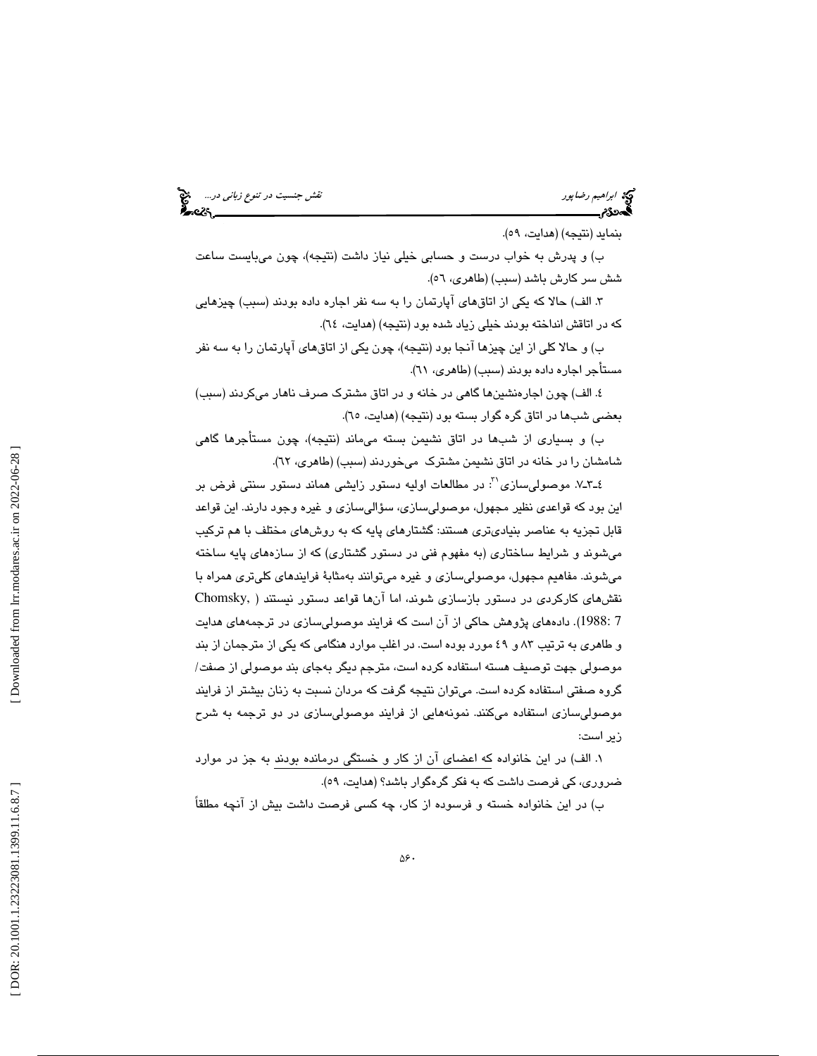ابراهيم رضاپور نقش جنسيت در تنوع زباني در...

بنمايد (نتيجه) (هدايت، ٥٩).

ب) و پدرش به خواب درست و حسابي خيلي نياز داشت (نتيجه)، چون ميبايست ساعت شش سر كارش باشد (سبب) (طاهري، ٥٦).

۳. الف) حالا كه يكي از اتاق،اي آپارتمان را به سه نفر اجاره داده بودند (سبب) چيزهايي كه در اتاقش انداخته بودند خيلي زياد شده بود (نتيجه) (هدايت، ٦٤).

ب) و حالا كلي از اين چيزها آنجا بود (نتيجه)، چون يكي از اتاقهاي آپارتمان را به سه نفر مستأجر اجاره داده بودند (سبب) (طاهري، ٦١).

. الف) چون اجارهنشينها گاهي در خانه و در اتاق مشترك صرف ناهار ميكردند (سبب) 4 بعضي شبها در اتاق گره گوار بسته بود (نتيجه) (هدايت، ٦٥).

ب) و بسياري از شبها در اتاق نشيمن بسته ميماند (نتيجه)، چون مستأجرها گاهي شامشان را در خانه در اتاق نشیمن مشترک میخوردند (سبب) (طاهری، ٦٢).

7ـ3ـ4 . موصوليسازي : در مطالعات اوليه دستور زايشي هماند دستور سنتي فرض بر <sup>31</sup> اين بود كه قواعدي نظير مجهول، موصوليسازي، سؤاليسازي و غيره وجود دارند. اين قواعد قابل تجزيه به عناصر بنياديتري هستند: گشتارهاي پايه كه به روشهاي مختلف با هم تركيب ميشوند و شرايط ساختاري (به مفهوم فني در دستور گشتاري) كه از سازههاي پايه ساخته ميشوند. مفاهيم مجهول، موصوليسازي و غيره ميتوانند بهمثابة فرايندهاي كليتري همراه با نقشهاي كاركردي در دستور بازسازي شوند، اما آنها قواعد دستور نيستند ( ,Chomsky دادههاي پژوهش حاكي از آن است كه فرايند موصوليسازي در ترجمههاي هدايت . (1988: 7 و طاهري به ترتيب ٨٣ و ٤٩ مورد بوده است. در اغلب موارد هنگامي كه يكي از مترجمان از بند موصولي جهت توصيف هسته استفاده كرده است، مترجم ديگر بهجاي بند موصولي از صفت/ گروه صفتي استفاده كرده است. ميتوان نتيجه گرفت كه مردان نسبت به زنان بيشتر از فرايند موصوليسازي استفاده ميكنند. نمونههايي از فرايند موصوليسازي در دو ترجمه به شرح زير است:

. الف) در اين خانواده كه اعضاي آن از كار و خستگي درمانده بودند به جز در موارد 1 ضروری، کی فرصت داشت كه به فكر گرهگوار باشد؟ (هدايت، ٥٩).

ب) در اين خانواده خسته و فرسوده از كار، چه كسي فرصت داشت بيش از آنچه مطلقاً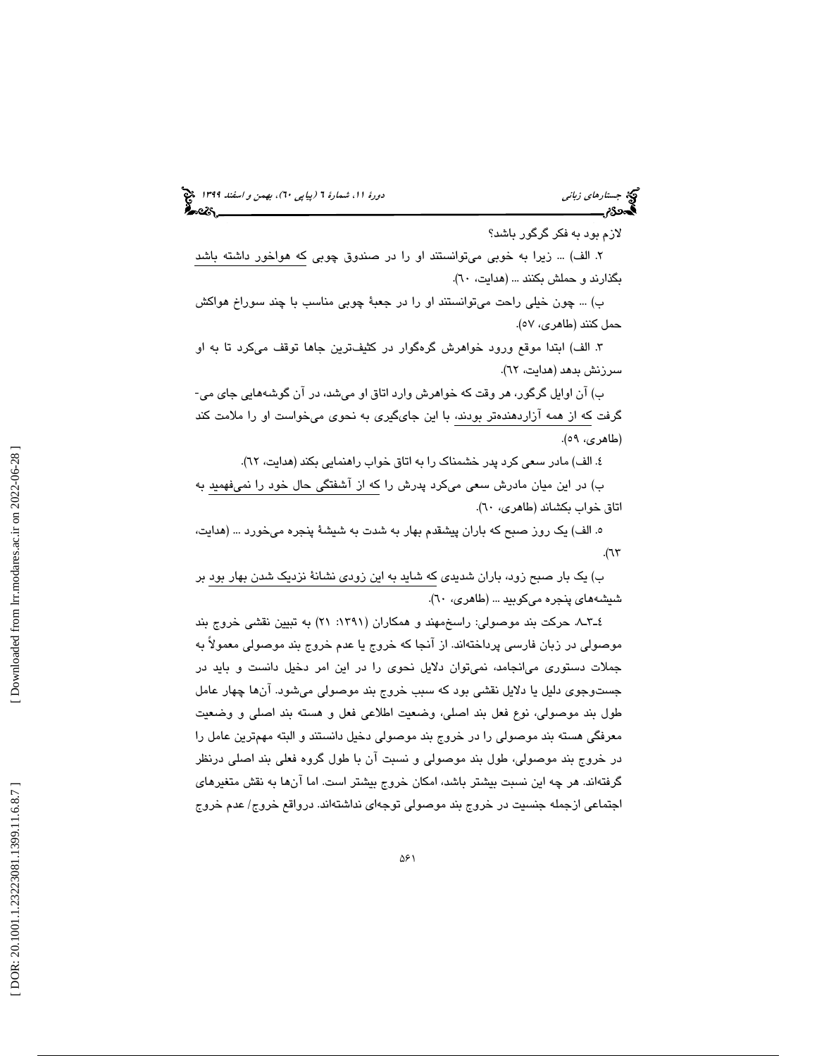# (پياپي 60)، بهمن و اسفند 1399 جستارهاي زباني دورة ،11 شمارة 6

لازم بود به فكر گرگور باشد؟

. الف) ... زيرا به خوبي ميتوانستند او را در صندوق چوبي كه هواخور داشته باشد 2 بگذارند و حملش بكنند ... (هدايت، ٦٠).

ب) ... چون خيلي راحت ميتوانستند او را در جعبة چوبي مناسب با چند سوراخ هواكش حمل كنند (طاهري، )57.

. الف) ابتدا موقع ورود خواهرش گرهگوار در كثيفترين جاها توقف ميكرد تا به او 3 سرزنش بدهد (هدايت، ٦٢).

ب) آن اوايل گرگور، هر وقت كه خواهرش وارد اتاق او ميشد، در آن گوشههايي جاي مي- گرفت كه از همه آزاردهندهتر بودند، با اين جايگيري به نحوي ميخواست او را ملامت كند (طاهري، ٥٩).

٤. الف) مادر سعی کرد پدر خشمناک را به اتاق خواب راهنمایی بکند (هدایت، ٦٢).

ب) در اين ميان مادرش سعي ميكرد پدرش را كه از آشفتگي حال خود را نميفهميد به اتاق خواب بكشاند (طاهري، ٦٠).

ه. الف) یک روز صبح که باران پیشقدم بهار به شدت به شیشهٔ پنجره میخورد … (هدایت،  $\mathcal{M}$ ).

ب) يك بار صبح زود، باران شديدي كه شايد به اين زودي نشانة نزديك شدن بهار بود بر شيشههاي پنجره ميكوبيد ... (طاهري، 60 ).

8ـ3ـ4 . حركت بند موصولي: راسخمهند و همكاران (:1391 21) به تبيين نقشي خروج بند موصولي در زبان فارسي پرداختهاند. از آنجا كه خروج يا عدم خروج بند موصولي معمولاً به جملات دستوري ميانجامد، نميتوان دلايل نحوي را در اين امر دخيل دانست و بايد در جستوجوي دليل يا دلايل نقشي بود كه سبب خروج بند موصولي مي،شود. آنها چهار عامل طول بند موصولي، نوع فعل بند اصلي، وضعيت اطلاعي فعل و هسته بند اصلي و وضعيت معرفگي هسته بند موصولي را در خروج بند موصولي دخيل دانستند و البته مهمترين عامل را در خروج بند موصولي، طول بند موصولي و نسبت آن با طول گروه فعلي بند اصلي درنظر گرفتهاند. هر چه اين نسبت بيشتر باشد، امكان خروج بيشتر است. اما آنها به نقش متغيرهاي اجتماعي ازجمله جنسيت در خروج بند موصولي توجهاي نداشتهاند. درواقع خروج/ عدم خروج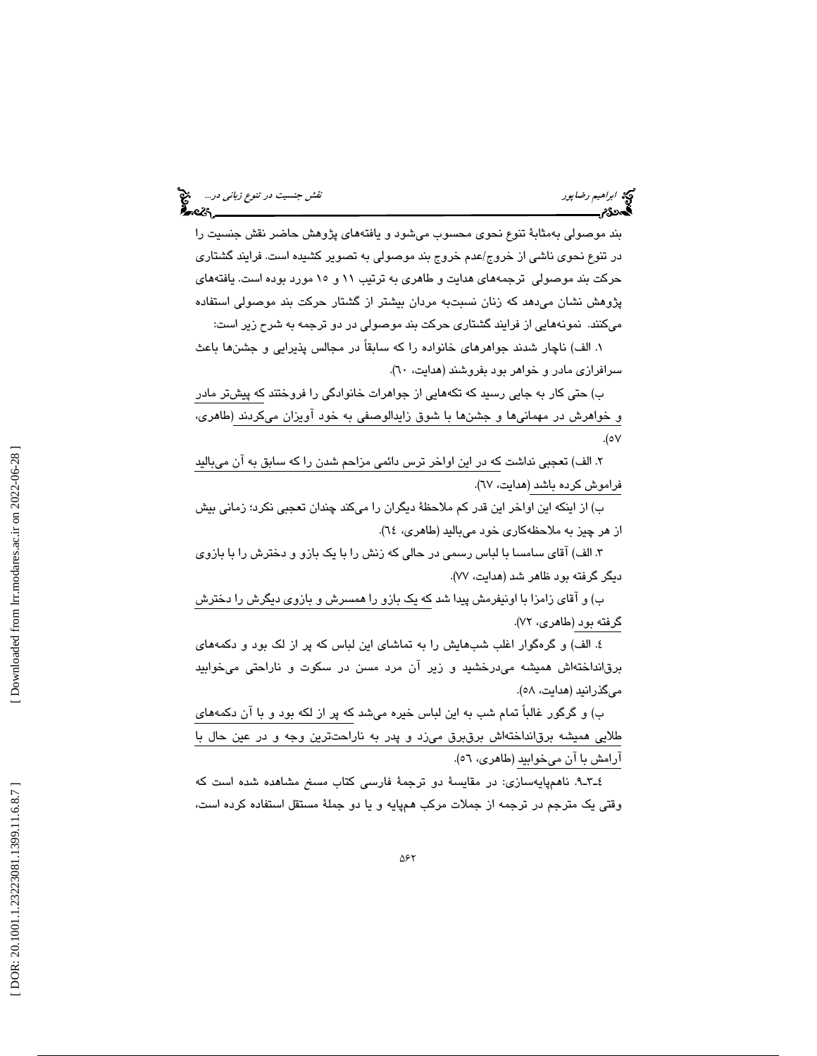بند موصولي بهمثابة تنوع نحوي محسوب ميشود و يافتههاي پژوهش حاضر نقش جنسيت را در تنوع نحوي ناشي از خروج/عدم خروج بند موصولي به تصوير كشيده است. فرايند گشتاري حركت بند موصولي ترجمههاي هدايت و طاهري به ترتيب ١١ و ١٥ مورد بوده است. يافتههاي پژوهش نشان ميدهد كه زنان نسبتبه مردان بيشتر از گشتار حركت بند موصولي استفاده ميكنند. نمونههايي از فرايند گشتاري حركت بند موصولي در دو ترجمه به شرح زير است:

. الف) ناچار شدند جواهرهاي خانواده را كه سابقاً در مجالس پذيرايي و جشنها باعث 1 سرافرازي مادر و خواهر بود بفروشند (هدايت، ٦٠).

ب) حتي كار به جايي رسيد كه تكههايي از جواهرات خانوادگي را فروختند كه پيشتر مادر و خواهرش در مهمانيها و جشنها با شوق زايدالوصفي به خود آويزان ميكردند (طاهري، 57.(

. الف) تعجبي نداشت كه در اين اواخر ترس دائمي مزاحم شدن را كه سابق به آن ميباليد 2 فراموش كرده باشد (هدايت، ٦٧).

ب) از اينكه اين اواخر اين قدر كم ملاحظة ديگران را ميكند چندان تعجبي نكرد؛ زماني بيش از هر چيز به ملاحظهكاري خود ميباليد (طاهري، ٦٤).

. الف) آقاي سامسا با لباس رسمي در حالي كه زنش را با يك بازو و دخترش را با بازوي 3 ديگر گرفته بود ظاهر شد (هدايت، 77 ).

ب) و آقاي زامزا با اونيفرمش پيدا شد كه يك بازو را همسرش و بازوي ديگرش را دخترش گرفته بود (طاهري، ٧٢).

. الف) و گرهگوار اغلب شبهايش را به تماشاي اين لباس كه پر از لك بود و دكمههاي 4 برقانداختهاش هميشه ميدرخشيد و زير آن مرد مسن در سكوت و ناراحتي ميخوابيد مي گذرانيد (هدايت، ٥٨).

ب) و گرگور غالباً تمام شب به اين لباس خيره ميشد كه پر از لكه بود و با آن دكمههاي طلايي هميشه برقانداختهاش برقبرق ميزد و پدر به ناراحتترين وجه و در عين حال با آرامش با آن ميخوابيد (طاهري، ٥٦).

9ـ3ـ4 . ناهمپايهسازي: در مقايسة دو ترجمة فارسي كتاب مسخ مشاهده شده است كه وقتي يك مترجم در ترجمه از جملات مركب همپايه و يا دو جملة مستقل استفاده كرده است،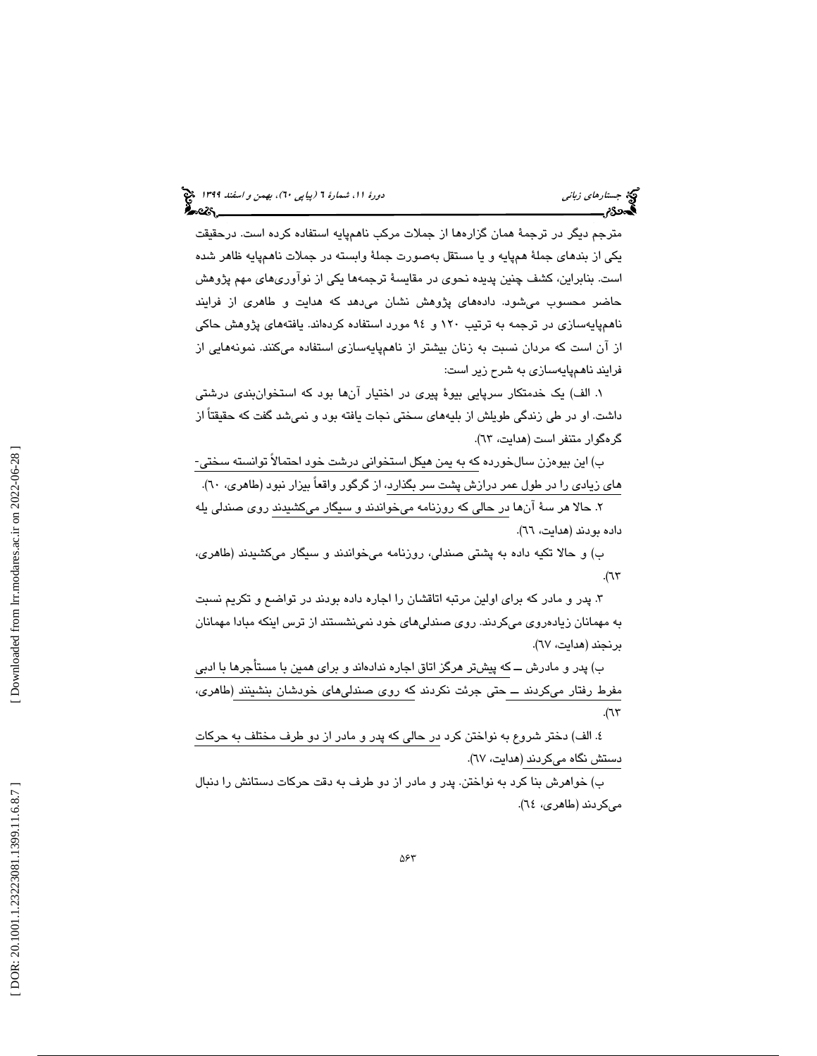مترجم ديگر در ترجمة همان گزارهها از جملات مركب ناهمپايه استفاده كرده است. درحقيقت يكي از بندهاي جملة همپايه و يا مستقل بهصورت جملة وابسته در جملات ناهمپايه ظاهر شده است. بنابراين، كشف چنين پديده نحوي در مقايسة ترجمهها يكي از نوآوريهاي مهم پژوهش حاضر محسوب ميشود. دادههاي پژوهش نشان ميدهد كه هدايت و طاهري از فرايند ناهمپايهسازي در ترجمه به ترتيب 120 و 94 مورد استفاده كردهاند. يافتههاي پژوهش حاكي از آن است كه مردان نسبت به زنان بيشتر از ناهمپايهسازي استفاده ميكنند. نمونههايي از فرايند ناهمپايهسازي به شرح زير است:

. الف) يك خدمتكار سرپايي بيوة پيري در اختيار آنها بود كه استخوانبندي درشتي 1 داشت. او در طي زندگي طويلش از بليههاي سختي نجات يافته بود و نميشد گفت كه حقيقتاً از گرهگوار متنفر است (هدايت، ٦٣).

ب) اين بيوهزن سالخورده كه به يمن هيكل استخواني درشت خود احتمالاً توانسته سختي- هاي زيادي را در طول عمر درازش پشت سر بگذارد، از گرگور واقعاً بيزار نبود (طاهري، ٦٠).

. حالا هر سة آنها در حالي كه روزنامه ميخواندند و سيگار ميكشيدند روي صندلي يله 2 داده بودند (هدايت، ٦٦).

ب) و حالا تكيه داده به پشتي صندلي، روزنامه ميخواندند و سيگار ميكشيدند (طاهري،  $\mathcal{M}$ ).

. پدر و مادر كه براي اولين مرتبه اتاقشان را اجاره داده بودند در تواضع و تكريم نسبت 3 به مهمانان زيادهروي ميكردند. روي صندليهاي خود نمينشستند از ترس اينكه مبادا مهمانان برنجند (هدايت، 67 ).

ب) پدر و مادرش ــ كه پيشتر هرگز اتاق اجاره ندادهاند و براي همين با مستأجرها با ادبي مفرط رفتار ميكردند ــ حتي جرئت نكردند كه روي صندليهاي خودشان بنشينند (طاهري،  $\Lambda$ 

. الف) دختر شروع به نواختن كرد در حالي كه پدر و مادر از دو طرف مختلف به حركات 4 دستش نگاه میکردند (هدايت، ٦٧).

ب) خواهرش بنا كرد به نواختن. پدر و مادر از دو طرف به دقت حركات دستانش را دنبال ميكردند (طاهري، ٦٤).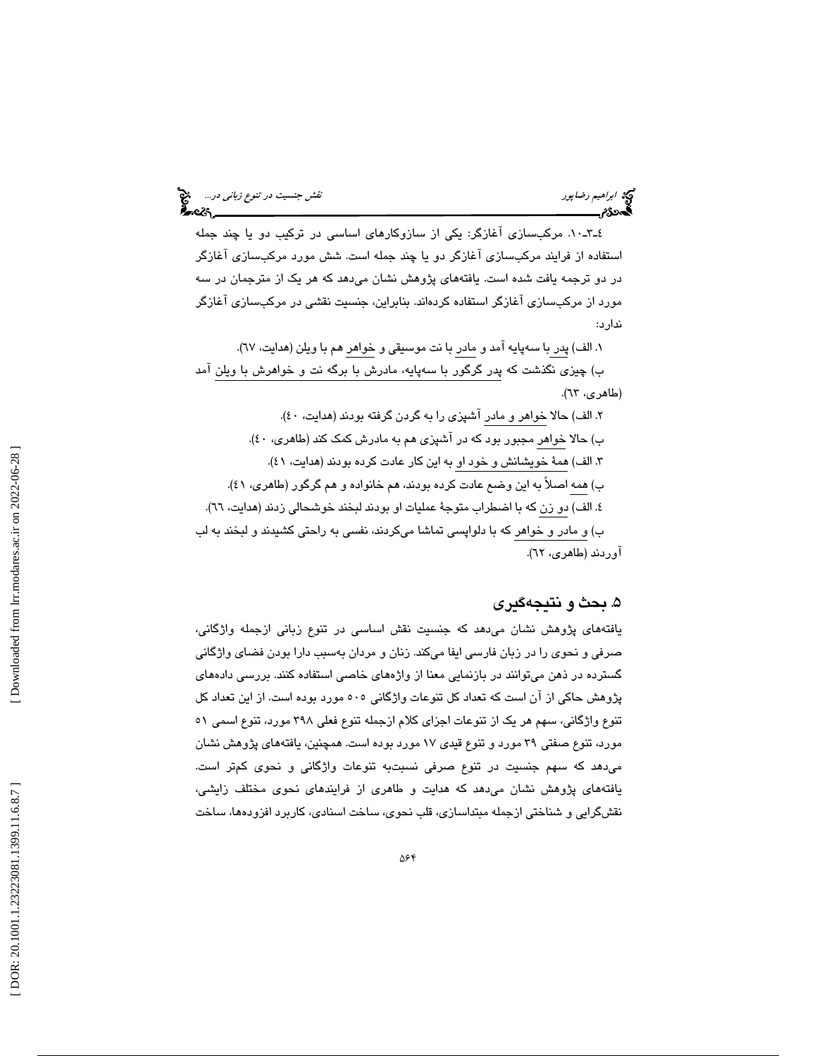٤ـ٣ـ-١٠. مركبسازي آغازگر: يكي از سازوكارهاي اساسي در تركيب دو يا چند جمله استفاده از فرايند مركبسازي آغازگر دو يا چند جمله است. شش مورد مركبسازي آغازگر در دو ترجمه يافت شده است. يافتههاي پژوهش نشان ميدهد كه هر يك از مترجمان در سه مورد از مركبسازي آغازگر استفاده كردهاند. بنابراين، جنسيت نقشي در مركبسازي آغازگر ندارد:

۰. الف) پدر با سەپايە آمد و مادر با نت موسىقى و خواهر هم با ويلن (هدايت، ٦٧). ب) چيزي نگذشت كه پدر گرگور با سهپايه، مادرش با برگه نت و خواهرش با ويلن آمد (طاهري، ٦٣). ۲. الف) حالا خواهر و مادر آشپزی را به گردن گرفته بودند (هدایت، ٤٠).

ب) حالا خواهر مجبور بود كه در آشپزي هم به مادرش كمک كند (طاهري، ٤٠). ۳. الف) همهٔ خویشانش و خود او به این كار عادت كرده بودند (هدایت، ٤١). ب) همه اصلاً به اين وضع عادت كرده بودند، هم خانواده و هم گرگور (طاهري، 41 ). ٤. الف) دو زن كه با اضطراب متوجهٔ عملیات او بودند لبخند خوشحالی زدند (هدایت، ٦٦). ب) و مادر و خواهر كه با دلواپسي تماشا ميكردند، نفسي به راحتي كشيدند و لبخند به لب آوردند (طاهري، ٦٢).

# . بحث و نتيجهگيري 5

یافتههای پژوهش نشان میدهد که جنسیت نقش اساسی در تنوع زبانی ازجمله واژگانی، صرفي و نحوي را در زبان فارسي ايفا ميكند. زنان و مردان بهسبب دارا بودن فضاي واژگاني گسترده در ذهن ميتوانند در بازنمايي معنا از واژههاي خاصي استفاده كنند. بررسي دادههاي پژوهش حاكي از آن است كه تعداد كل تنوعات واژگاني 505 مورد بوده است. از اين تعداد كل تنوع واژگاني، سهم هر يك از تنوعات اجزاي كلام ازجمله تنوع فعلي 398 مورد، تنوع اسمي 51 مورد، تنوع صفتی ۳۹ مورد و تنوع قیدی ۱۷ مورد بوده است. همچنین، یافتههای پژوهش نشان ميدهد كه سهم جنسيت در تنوع صرفي نسبتبه تنوعات واژگاني و نحوي كمتر است. یافتههای پژوهش نشان میدهد که هدایت و طاهری از فرایندهای نحوی مختلف زایشی، نقشگرايي و شناختي ازجمله مبتداسازي، قلب نحوي، ساخت اسنادي، كاربرد افزودهها، ساخت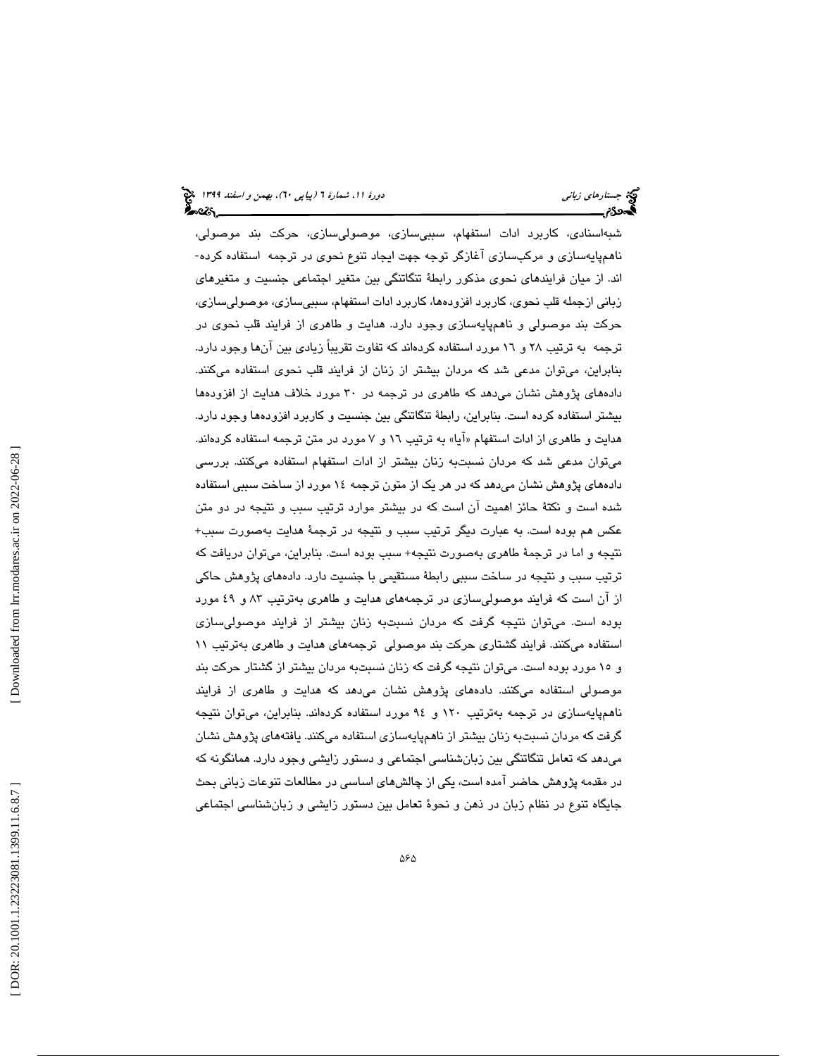شبهاسنادي، كاربرد ادات استفهام، سببيسازي، موصوليسازي، حركت بند موصولي، ناهمپايهسازي و مركبسازي آغازگر توجه جهت ايجاد تنوع نحوي در ترجمه استفاده كرده- اند. از ميان فرايندهاي نحوي مذكور رابطة تنگاتنگي بين متغير اجتماعي جنسيت و متغيرهاي زباني ازجمله قلب نحوي، كاربرد افزودهها، كاربرد ادات استفهام، سببيسازي، موصوليسازي، حركت بند موصولي و ناهمپايهسازي وجود دارد. هدايت و طاهري از فرايند قلب نحوي در ترجمه به ترتيب ٢٨ و ١٦ مورد استفاده كردهاند كه تفاوت تقريباً زيادي بين آنها وجود دارد. بنابراين، ميتوان مدعي شد كه مردان بيشتر از زنان از فرايند قلب نحوي استفاده ميكنند. دادههاي پژوهش نشان ميدهد كه طاهري در ترجمه در 30 مورد خلاف هدايت از افزودهها بيشتر استفاده كرده است. بنابراين، رابطة تنگاتنگي بين جنسيت و كاربرد افزودهها وجود دارد. هدايت و طاهري از ادات استفهام «آيا» به ترتيب ١٦ و ٧ مورد در متن ترجمه استفاده كردهاند. ميتوان مدعي شد كه مردان نسبتبه زنان بيشتر از ادات استفهام استفاده ميكنند. بررسي دادههاي پژوهش نشان ميدهد كه در هر يك از متون ترجمه 14 مورد از ساخت سببي استفاده شده است و نكتة حائز اهميت آن است كه در بيشتر موارد ترتيب سبب و نتيجه در دو متن عكس هم بوده است. به عبارت ديگر ترتيب سبب و نتيجه در ترجمة هدايت بهصورت سبب+ نتيجه و اما در ترجمة طاهري بهصورت نتيجه+ سبب بوده است. بنابراين، ميتوان دريافت كه ترتيب سبب و نتيجه در ساخت سببي رابطة مستقيمي با جنسيت دارد. دادههاي پژوهش حاكي از آن است كه فرايند موصوليسازي در ترجمههاي هدايت و طاهري بهترتيب 83 و 49 مورد بوده است. ميتوان نتيجه گرفت كه مردان نسبتبه زنان بيشتر از فرايند موصوليسازي استفاده ميكنند. فرايند گشتاري حركت بند موصولي ترجمههاي هدايت و طاهري بهترتيب 11 و 15 مورد بوده است. ميتوان نتيجه گرفت كه زنان نسبتبه مردان بيشتر از گشتار حركت بند موصولي استفاده ميكنند. دادههاي پژوهش نشان ميدهد كه هدايت و طاهري از فرايند ناهمپايهسازي در ترجمه بهترتيب 120 و 94 مورد استفاده كردهاند. بنابراين، ميتوان نتيجه گرفت كه مردان نسبتبه زنان بيشتر از ناهمپايهسازي استفاده ميكنند. يافتههاي پژوهش نشان ميدهد كه تعامل تنگاتنگي بين زبانشناسي اجتماعي و دستور زايشي وجود دارد. همانگونه كه در مقدمه پژوهش حاضر آمده است، يكي از چالشهاي اساسي در مطالعات تنوعات زباني بحث جايگاه تنوع در نظام زبان در ذهن و نحوة تعامل بين دستور زايشي و زبانشناسي اجتماعي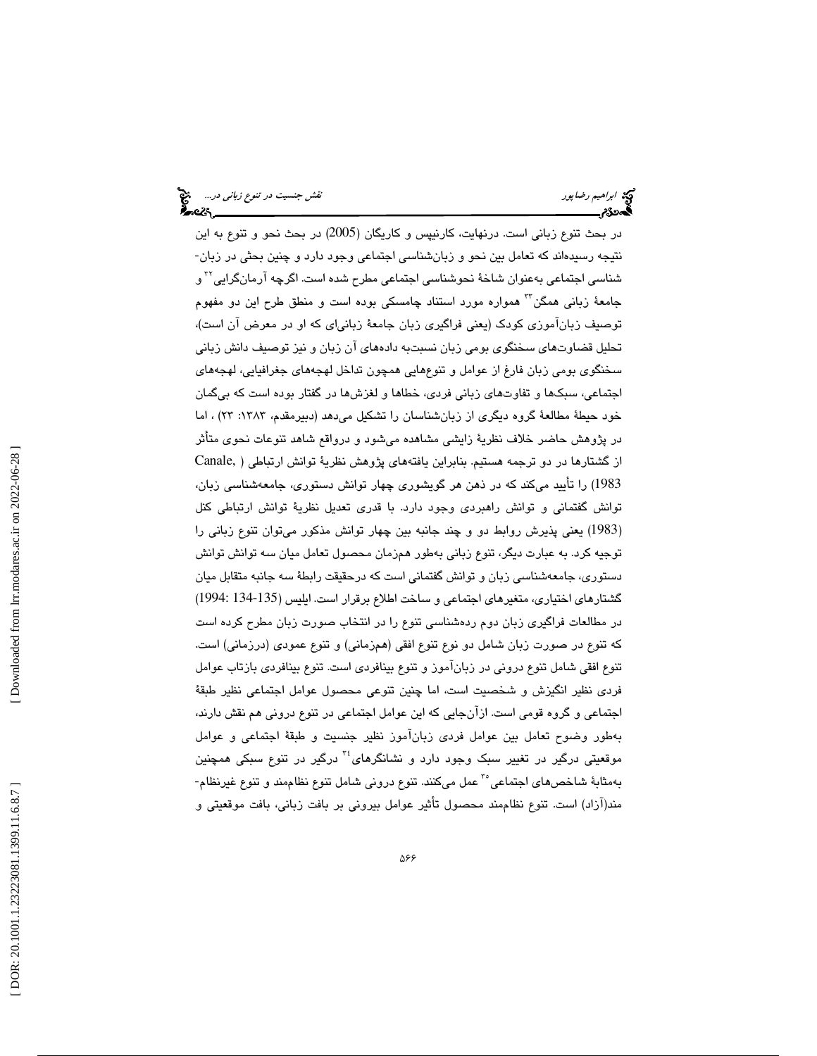در بحث تنوع زباني است. درنهايت، كارنيپس و كاريگان (2005) در بحث نحو و تنوع به اين نتيجه رسيدهاند كه تعامل بين نحو و زبانشناسي اجتماعي وجود دارد و چنين بحثي در زبان- شناس*ی* اجتماعی بهعنوان شاخهٔ نحوشناسی اجتماعی مطرح شده است. اگرچه آرمانگرایی<sup>۲۲</sup> و جامعهٔ زبانی همگن™ همواره مورد استناد چامسکی بوده است و منطق طرح این دو مفهوم توصيف زبانآموزي كودك (يعني فراگيري زبان جامعة زبانياي كه او در معرض آن است)، تحليل قضاوتهاي سخنگوي بومي زبان نسبتبه دادههاي آن زبان و نيز توصيف دانش زباني سخنگوي بومي زبان فارغ از عوامل و تنوعهايي همچون تداخل لهجههاي جغرافيايي، لهجههاي اجتماعي، سبكها و تفاوتهاي زباني فردي، خطاها و لغزشها در گفتار بوده است كه بيگمان خود حيطة مطالعة گروه ديگري از زبانشناسان را تشكيل ميدهد (دبيرمقدم، :1383 23) ، اما در پژوهش حاضر خلاف نظرية زايشي مشاهده ميشود و درواقع شاهد تنوعات نحوي متأثر از گشتارها در دو ترجمه هستيم. بنابراين يافتههاي پژوهش نظرية توانش ارتباطي ( ,Canale 1983) را تأييد ميكند كه در ذهن هر گويشوري چهار توانش دستوري، جامعهشناسي زبان، توانش گفتماني و توانش راهبردي وجود دارد. با قدري تعديل نظرية توانش ارتباطي كنل 1983) يعني پذيرش روابط دو و چند جانبه بين چهار توانش مذكور ميتوان تنوع زباني را ) توجيه كرد. به عبارت ديگر، تنوع زباني بهطور همزمان محصول تعامل ميان سه توانش توانش دستوري، جامعهشناسي زبان و توانش گفتماني است كه درحقيقت رابطة سه جانبه متقابل ميان گشتارهاي اختياري، متغيرهاي اجتماعي و ساخت اطلاع برقرار است. ايليس (134-135 1994:) در مطالعات فراگيري زبان دوم ردهشناسي تنوع را در انتخاب صورت زبان مطرح كرده است كه تنوع در صورت زبان شامل دو نوع تنوع افقي (همزماني) و تنوع عمودي (درزماني) است. تنوع افقي شامل تنوع دروني در زبانآموز و تنوع بينافردي است. تنوع بينافردي بازتاب عوامل فردي نظير انگيزش و شخصيت است، اما چنين تنوعي محصول عوامل اجتماعي نظير طبقة اجتماعي و گروه قومي است. ازآنجايي كه اين عوامل اجتماعي در تنوع دروني هم نقش دارند، بهطور وضوح تعامل بين عوامل فردي زبانآموز نظير جنسيت و طبقة اجتماعي و عوامل موقعيتي درگير در تغيير سبک وجود دارد و نشانگرهای<sup>،۳</sup> درگير در تنوع سبکي همچنين بهمثابهٔ شاخصهای اجتماعی°<sup>٬</sup> عمل میکنند. تنوع درونی شامل تنوع نظاممند و تنوع غیرنظام-مند(آزاد) است. تنوع نظاممند محصول تأثير عوامل بيروني بر بافت زباني، بافت موقعيتي و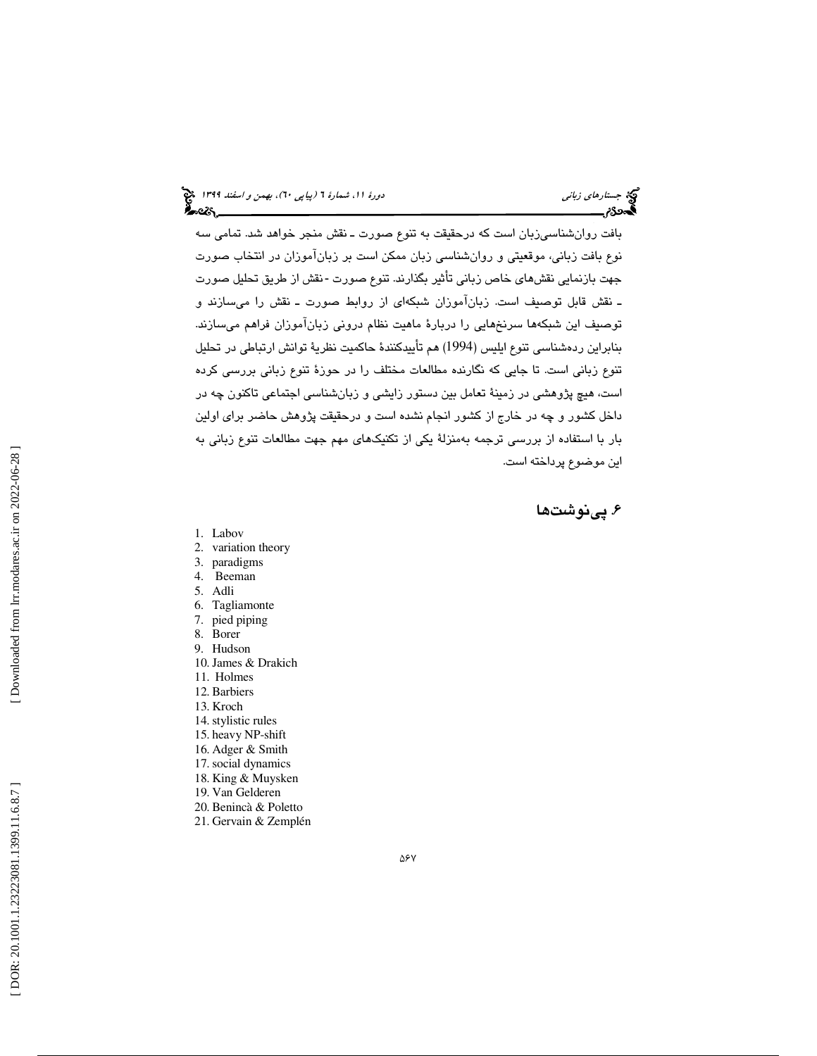بافت روانشناسيزبان است كه درحقيقت به تنوع صورت ـ نقش منجر خواهد شد. تمامي سه نوع بافت زباني، موقعيتي و روانشناسي زبان ممكن است بر زبانآموزان در انتخاب صورت جهت بازنمايي نقشهاي خاص زباني تأثير بگذارند. تنوع صورت -نقش از طريق تحليل صورت ـ نقش قابل توصيف است. زبانآموزان شبكهاي از روابط صورت ـ نقش را ميسازند و توصيف اين شبكهها سرنخهايي را دربارة ماهيت نظام دروني زبانآموزان فراهم ميسازند. بنابراين ردهشناسي تنوع ايليس (1994) هم تأييدكنندهٔ حاكميت نظريهٔ توانش ارتباطي در تحليل تنوع زباني است. تا جايي كه نگارنده مطالعات مختلف را در حوزة تنوع زباني بررسي كرده است، هيچ پژوهشي در زمينة تعامل بين دستور زايشي و زبانشناسي اجتماعي تاكنون چه در داخل كشور و چه در خارج از كشور انجام نشده است و درحقيقت پژوهش حاضر براي اولين بار با استفاده از بررسي ترجمه بهمنزلة يكي از تكنيكهاي مهم جهت مطالعات تنوع زباني به اين موضوع پرداخته است.

۶. پینوشتها

- 1. Labov
- 2. variation theory
- 3. paradigms
- 4. Beeman
- 5. Adli
- 6. Tagliamonte
- 7. pied piping
- 8. Borer
- 9. Hudson
- 10. James & Drakich
- 11. Holmes
- 12. Barbiers
- 13. Kroch
- 14. stylistic rules
- 15. heavy NP-shift
- 16. Adger & Smith 17. social dynamics
- 18. King & Muysken
- 19. Van Gelderen
- 20. Benincà & Poletto
- 21. Gervain & Zemplén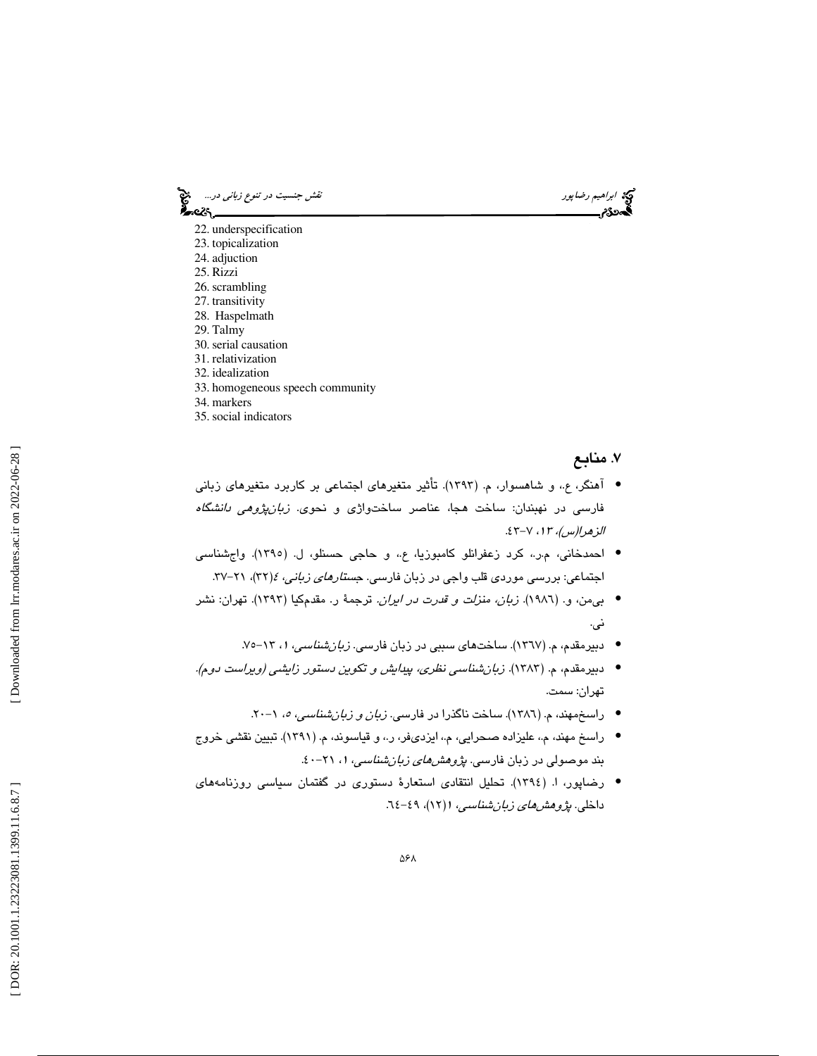ابراهيم رضاپور نقش جنسيت در تن*وع زباني در...*... ابراهيم رضاپور<br>**ابتدائی نقش جنسي به ابتدائي در تنوع زباني در تنوع زباني در تنوع زباني در...**<br>ابتدائي ابتدائي ابتدائي در تنوع ابتدائي در تنوع زباني در تنوع زباني در تنوع زب 22. underspecification

- 23. topicalization 24. adjuction 25. Rizzi 26. scrambling 27. transitivity 28. Haspelmath 29. Talmy 30. serial causation 31. relativization 32. idealization
- 
- 33. homogeneous speech community
- 34. markers
- 35. social indicators

### ۷. منابع

- آهنگر، ع،. و شاهسوار، م. (1393). تأثير متغيرهاي اجتماعي بر كاربرد متغيرهاي زباني فارسي در نهبندان: ساخت هجا، عناصر ساختواژي و نحوي. زبانپژوهي دانشگاه الزهرا(س)، 13 ،7- 43.
- احمدخاني، م.ر،. كرد زعفرانلو كامبوزيا، ع،. و حاجي حسنلو، ل. (1395). واجشناسي اجتماعی: بررسی موردی قلب واجی در زبان فارسی. ج*ستارهای زبانی، ٤*(٣٢)، ٢١–٣٧.
- بيمن، و. (1986). زبان، منزلت و قدرت در ايران. ترجمة ر. مقدمكيا (1393). تهران: نشر ني.
	- دبیرمقدم، م. (١٣٦٧). ساختهای سببی در زبان فارسی. *زبانشناسی، ۱،* ۱۳–۷۰
- دبيرمقدم، م. (1383). زبانشناسي نظري، پيدايش و تكوين دستور زايشي (ويراست دوم). تهران: سمت.
	- راسخمهند، م. (١٣٨٦). ساخت ناگذرا در فارس*ی. زبان و زبان شناسی، ٥،* ۱–۲۰.
- راسخ مهند، م،. عليزاده صحرايي، م،. ايزديفر، ر،. و قياسوند، م. (1391). تبيين نقشي خروج بند موصولی در زبان فارس*ی. پژوهشهای زبانشناسی، ۱، ۲*۱–۶۰.
- رضاپور، ا. (1394). تحليل انتقادي استعارة دستوري در گفتمان سياسي روزنامههاي داخلی. *پژوهشهای زبانشناسی، ۱*(۱۲)، ۶۹-۲۶.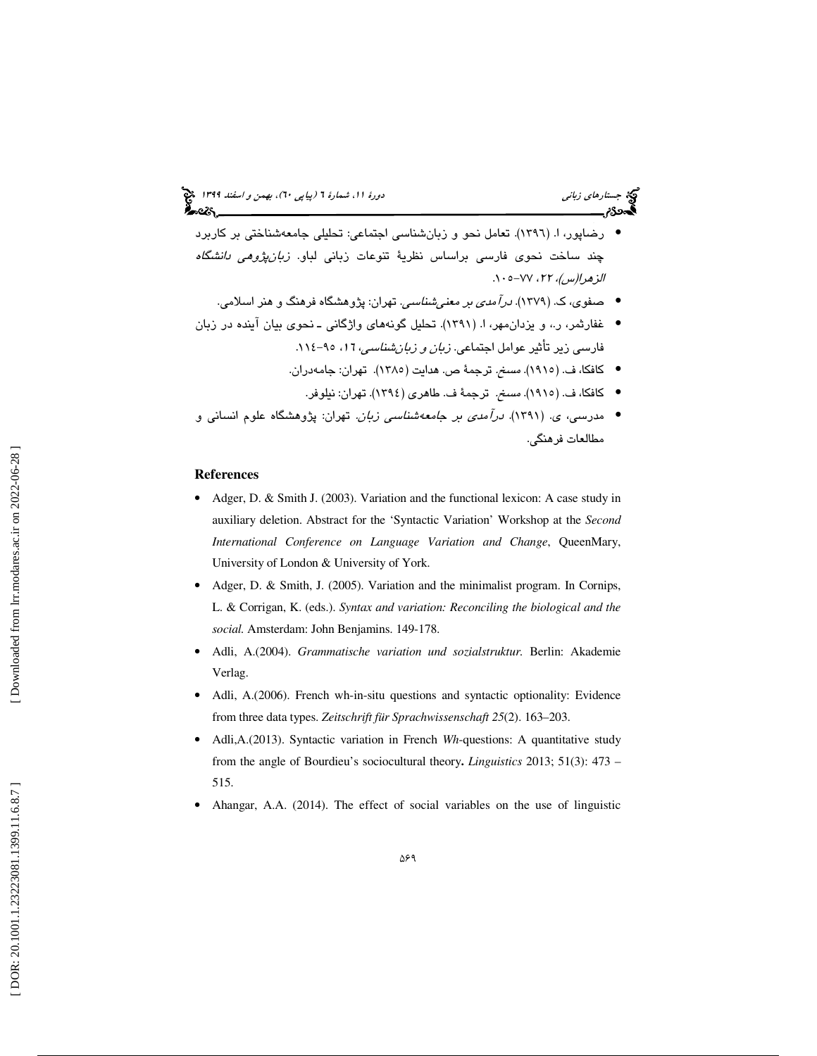- رضاپور، ا. (1396). تعامل نحو و زبانشناسي اجتماعي: تحليلي جامعهشناختي بر كاربرد چند ساخت نحوی فارسی براساس نظریهٔ تنوعات زبانی لباو. *زبانپژوهی دانشگاه* الزهرا(س)، ٢٢، ٧٧-١٠٥.
	- صفوي، ك. (1379). درآمدي بر معنيشناسي. تهران: پژوهشگاه فرهنگ و هنر اسلامي. •
- غفارثمر، ر،. و يزدانمهر، ا. (1391). تحليل گونههاي واژگاني ـ نحوي بيان آينده در زبان فارسي زير تأثير عوامل اجتماعي. *زبان و زبان شناسي، ١٦،* ٩٥-١١٤.
	- كافكا، ف. (1915). مسخ. ترجمة ص. هدايت (1385). تهران: جامهدران.
		- كافكا، ف. (1915). مسخ. ترجمة ف. طاهري (1394). تهران: نيلوفر. •
- مدرسي، ي. (1391). درآمدي بر جامعهشناسي زبان. تهران: پژوهشگاه علوم انساني و مطالعات فرهنگي.

#### **References**

- Adger, D. & Smith J. (2003). Variation and the functional lexicon: A case study in auxiliary deletion. Abstract for the 'Syntactic Variation' Workshop at the *Second International Conference on Language Variation and Change*, QueenMary, University of London & University of York.
- Adger, D. & Smith, J. (2005). Variation and the minimalist program. In Cornips, L. & Corrigan, K. (eds.). *Syntax and variation: Reconciling the biological and the social.* Amsterdam: John Benjamins. 149-178.
- Adli, A.(2004). *Grammatische variation und sozialstruktur.* Berlin: Akademie Verlag.
- Adli, A.(2006). French wh-in-situ questions and syntactic optionality: Evidence from three data types. *Zeitschrift für Sprachwissenschaft 25*(2). 163–203.
- Adli,A.(2013). Syntactic variation in French *Wh*-questions: A quantitative study from the angle of Bourdieu's sociocultural theory**.** *Linguistics* 2013; 51(3): 473 – 515.
- Ahangar, A.A. (2014). The effect of social variables on the use of linguistic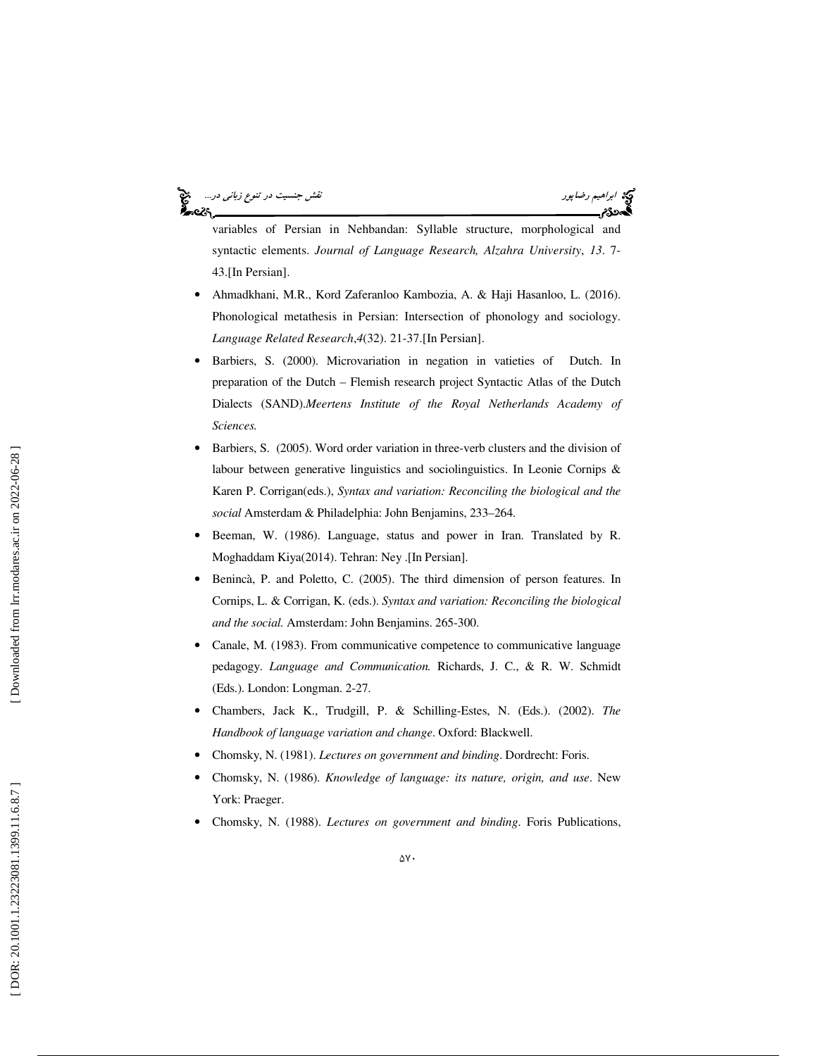ابراهيم *رضاپور نقوع زباني در...*<br>ابراهيم *رضاپور* نقش جنسيت در تن*وع زباني در*... be 25



variables of Persian in Nehbandan: Syllable structure, morphological and syntactic elements. *Journal of Language Research, Alzahra University*, *13*. 7- 43.[In Persian].

- Ahmadkhani, M.R., Kord Zaferanloo Kambozia, A. & Haji Hasanloo, L. (2016). Phonological metathesis in Persian: Intersection of phonology and sociology. *Language Related Research* , *4*(32). 21-37.[In Persian].
- Barbiers, S. (2000). Microvariation in negation in vatieties of Dutch. In preparation of the Dutch – Flemish research project Syntactic Atlas of the Dutch Dialects (SAND).*Meertens Institute of the Royal Netherlands Academy of Sciences.*
- Barbiers, S. (2005). Word order variation in three-verb clusters and the division of labour between generative linguistics and sociolinguistics. In Leonie Cornips & Karen P. Corrigan(eds.), *Syntax and variation: Reconciling the biological and the social* Amsterdam & Philadelphia: John Benjamins, 233–264.
- Beeman, W. (1986). Language, status and power in Iran. Translated by R. Moghaddam Kiya(2014). Tehran: Ney .[In Persian].
- Benincà, P. and Poletto, C. (2005). The third dimension of person features. In Cornips, L. & Corrigan, K. (eds.). *Syntax and variation: Reconciling the biological and the social.* Amsterdam: John Benjamins. 265-300.
- Canale, M. (1983). From communicative competence to communicative language pedagogy. *Language and Communication.* Richards, J. C., & R. W. Schmidt (Eds.). London: Longman. 2-27.
- Chambers, Jack K., Trudgill, P. & Schilling-Estes, N. (Eds.). (2002). *The Handbook of language variation and change*. Oxford: Blackwell.
- Chomsky, N. (1981). *Lectures on government and binding*. Dordrecht: Foris.
- Chomsky, N. (1986). *Knowledge of language: its nature, origin, and use*. New York: Praeger.
- Chomsky, N. (1988). *Lectures on government and binding*. Foris Publications,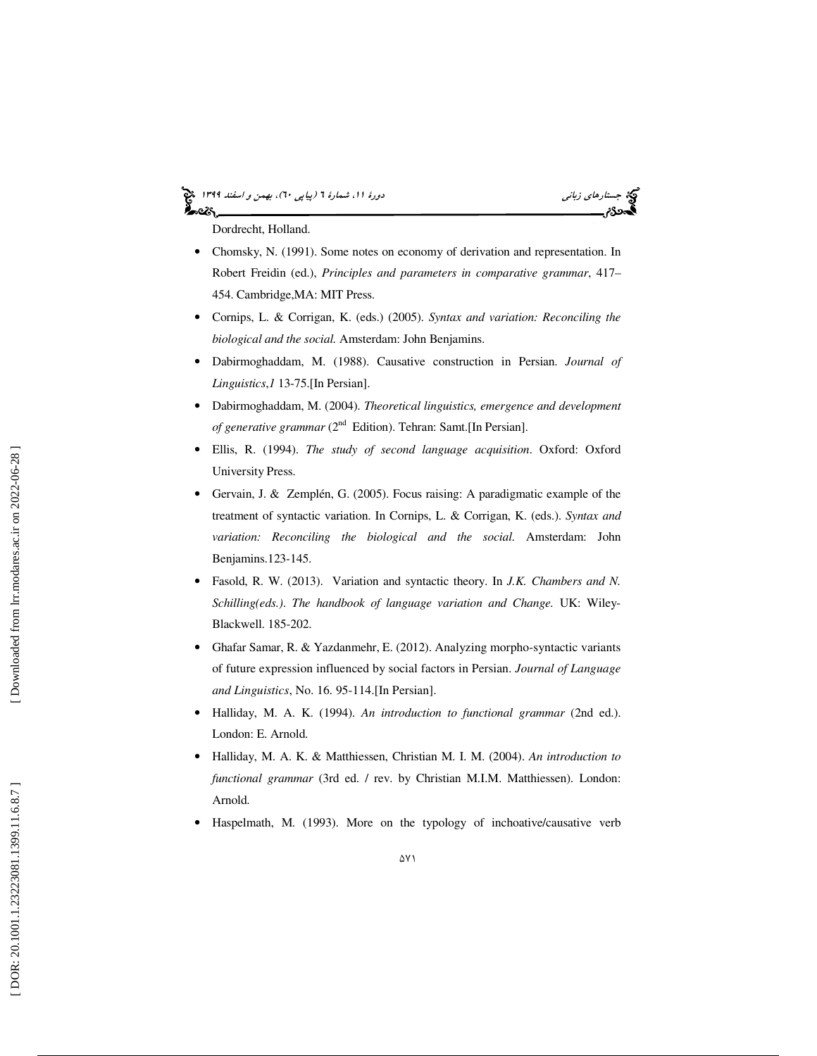# (پياپي 60)، بهمن و اسفند 1399 جستارهاي زباني دورة ،11 شمارة 6



Dordrecht, Holland.

- Chomsky, N. (1991). Some notes on economy of derivation and representation. In Robert Freidin (ed.), *Principles and parameters in comparative grammar*, 417– 454. Cambridge,MA: MIT Press.
- Cornips, L. & Corrigan, K. (eds.) (2005). *Syntax and variation: Reconciling the biological and the social.* Amsterdam: John Benjamins.
- Dabirmoghaddam, M. (1988). Causative construction in Persian. *Journal of Linguistics* , *1* 13-75.[In Persian].
- Dabirmoghaddam, M. (2004). *Theoretical linguistics, emergence and development of generative grammar* (2<sup>nd</sup> Edition). Tehran: Samt. [In Persian].
- Ellis, R. (1994). *The study of second language acquisition*. Oxford: Oxford University Press.
- Gervain, J. & Zemplén, G. (2005). Focus raising: A paradigmatic example of the treatment of syntactic variation. In Cornips, L. & Corrigan, K. (eds.). *Syntax and variation: Reconciling the biological and the social.* Amsterdam: John Benjamins.123-145.
- Fasold, R. W. (2013). Variation and syntactic theory. In *J.K. Chambers and N. Schilling(eds.)* . *The handbook of language variation and Change.* UK: Wiley-Blackwell. 185-202.
- Ghafar Samar, R. & Yazdanmehr, E. (2012). Analyzing morpho-syntactic variants of future expression influenced by social factors in Persian. *Journal of Language and Linguistics*, No. 16. 95-114.[In Persian].
- Halliday, M. A. K. (1994). *An introduction to functional grammar* (2nd ed.). London: E. Arnold.
- Halliday, M. A. K. & Matthiessen, Christian M. I. M. (2004). *An introduction to functional grammar* (3rd ed. / rev. by Christian M.I.M. Matthiessen). London: Arnold.
- Haspelmath, M. (1993). More on the typology of inchoative/causative verb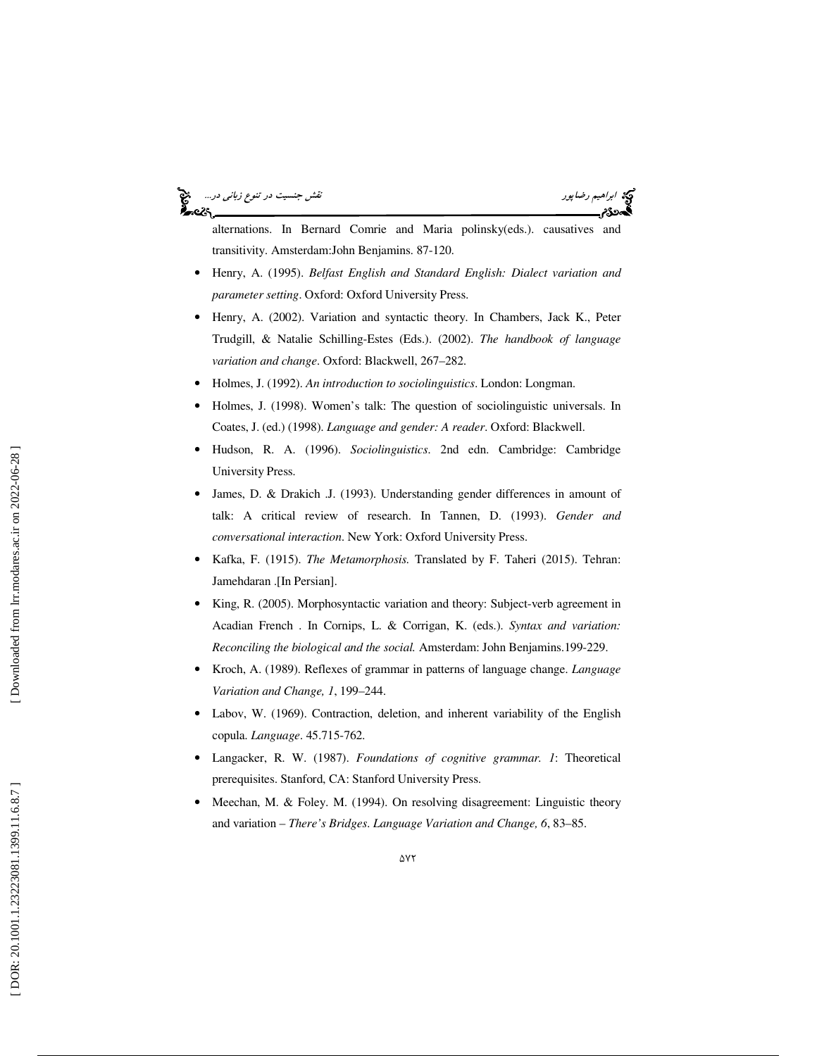#### ابراهيم *رضاپور نقوع زباني در...*<br>ابراهيم *رضاپور* نقش جنسيت در تن*وع زباني در*... અવ્હ



alternations. In Bernard Comrie and Maria polinsky(eds.). causatives and transitivity. Amsterdam:John Benjamins. 87-120.

- Henry, A. (1995). *Belfast English and Standard English: Dialect variation and parameter setting*. Oxford: Oxford University Press.
- Henry, A. (2002). Variation and syntactic theory. In Chambers, Jack K., Peter Trudgill, & Natalie Schilling-Estes (Eds.). (2002). *The handbook of language variation and change*. Oxford: Blackwell, 267–282.
- Holmes, J. (1992). *An introduction to sociolinguistics*. London: Longman.
- Holmes, J. (1998). Women's talk: The question of sociolinguistic universals. In Coates, J. (ed.) (1998). *Language and gender: A reader*. Oxford: Blackwell.
- Hudson, R. A. (1996). *Sociolinguistics*. 2nd edn. Cambridge: Cambridge University Press.
- James, D. & Drakich .J. (1993). Understanding gender differences in amount of talk: A critical review of research. In Tannen, D. (1993). *Gender and conversational interaction*. New York: Oxford University Press.
- Kafka, F. (1915). *The Metamorphosis.* Translated by F. Taheri (2015). Tehran: Jamehdaran .[In Persian].
- King, R. (2005). Morphosyntactic variation and theory: Subject-verb agreement in Acadian French . In Cornips, L. & Corrigan, K. (eds.). *Syntax and variation: Reconciling the biological and the social.* Amsterdam: John Benjamins.199-229.
- Kroch, A. (1989). Reflexes of grammar in patterns of language change. *Language Variation and Change, 1*, 199–244.
- Labov, W. (1969). Contraction, deletion, and inherent variability of the English copula. *Language*. 45.715-762.
- Langacker, R. W. (1987). *Foundations of cognitive grammar. 1*: Theoretical prerequisites. Stanford, CA: Stanford University Press.
- Meechan, M. & Foley. M. (1994). On resolving disagreement: Linguistic theory and variation – *There's Bridges*. *Language Variation and Change, 6*, 83–85.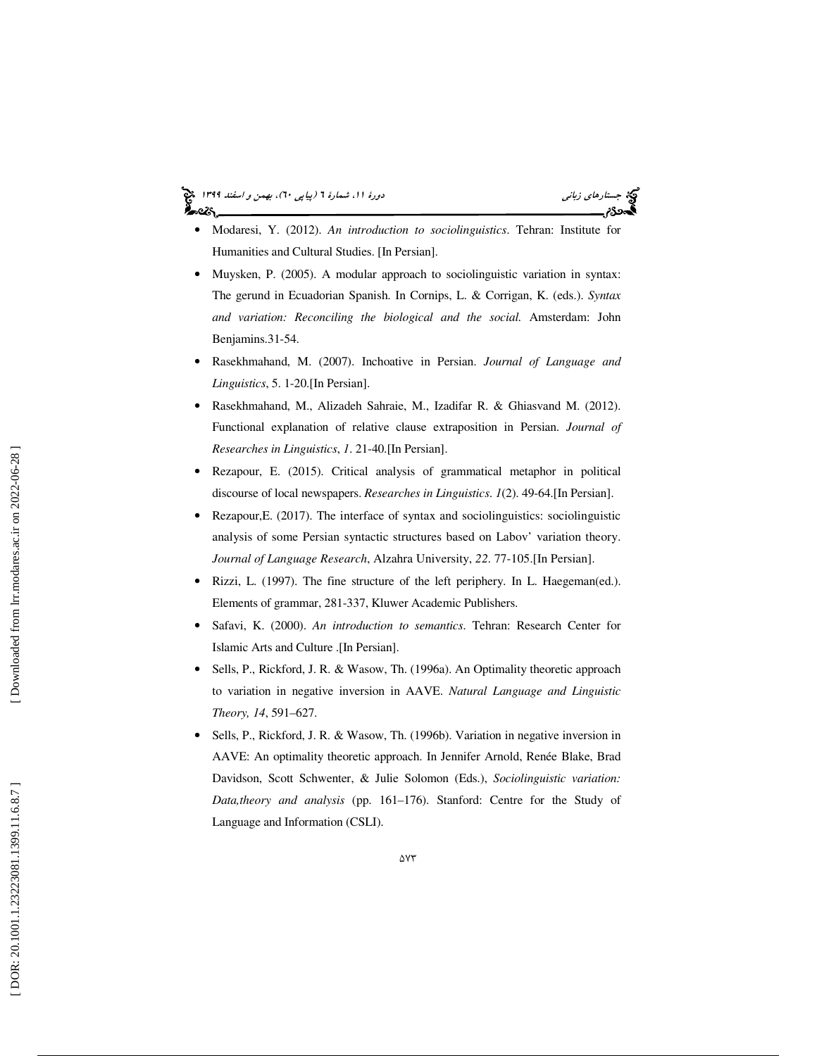# (پياپي 60)، بهمن و اسفند 1399 جستارهاي زباني دورة ،11 شمارة 6

- Modaresi, Y. (2012). *An introduction to sociolinguistics*. Tehran: Institute for Humanities and Cultural Studies. [In Persian].
- Muysken, P. (2005). A modular approach to sociolinguistic variation in syntax: The gerund in Ecuadorian Spanish. In Cornips, L. & Corrigan, K. (eds.). *Syntax and variation: Reconciling the biological and the social.* Amsterdam: John Benjamins.31-54.
- Rasekhmahand, M. (2007). Inchoative in Persian. *Journal of Language and Linguistics*, 5. 1-20.[In Persian].
- Rasekhmahand, M., Alizadeh Sahraie, M., Izadifar R. & Ghiasvand M. (2012). Functional explanation of relative clause extraposition in Persian. *Journal of Researches in Linguistics*, *1*. 21-40.[In Persian].
- Rezapour, E. (2015). Critical analysis of grammatical metaphor in political discourse of local newspapers. *Researches in Linguistics*. *1*(2). 49-64.[In Persian].
- Rezapour, E. (2017). The interface of syntax and sociolinguistics: sociolinguistic analysis of some Persian syntactic structures based on Labov' variation theory. *Journal of Language Research*, Alzahra University, *22*. 77-105.[In Persian].
- Rizzi, L. (1997). The fine structure of the left periphery. In L. Haegeman(ed.). Elements of grammar, 281-337, Kluwer Academic Publishers.
- Safavi, K. (2000). *An introduction to semantics*. Tehran: Research Center for Islamic Arts and Culture .[In Persian].
- Sells, P., Rickford, J. R. & Wasow, Th. (1996a). An Optimality theoretic approach to variation in negative inversion in AAVE. *Natural Language and Linguistic Theory, 14*, 591–627.
- Sells, P., Rickford, J. R. & Wasow, Th. (1996b). Variation in negative inversion in AAVE: An optimality theoretic approach. In Jennifer Arnold, Renée Blake, Brad Davidson, Scott Schwenter, & Julie Solomon (Eds.), *Sociolinguistic variation: Data,theory and analysis* (pp. 161–176). Stanford: Centre for the Study of Language and Information (CSLI).